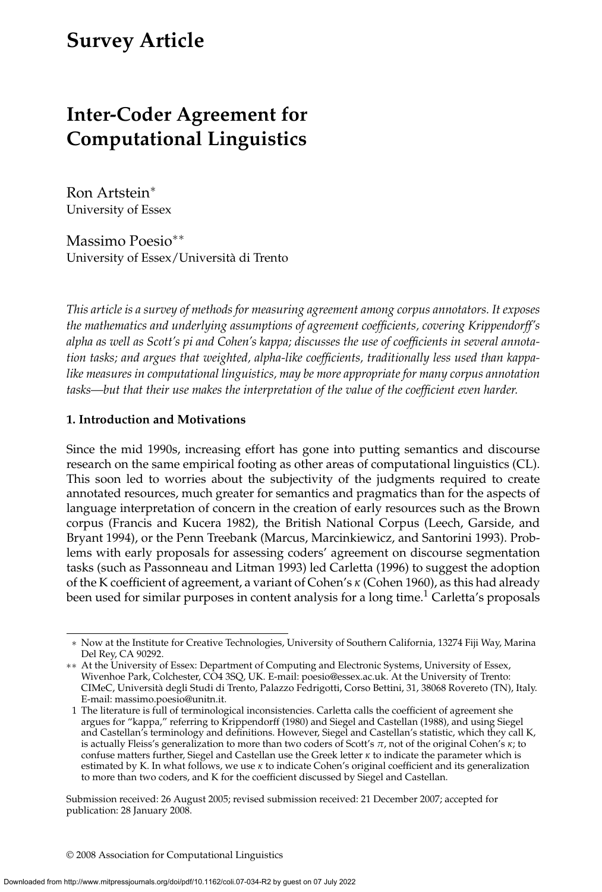# **Survey Article**

# **Inter-Coder Agreement for Computational Linguistics**

Ron Artstein<sup>∗</sup> University of Essex

Massimo Poesio∗∗ University of Essex/Universita di Trento `

*This article is a survey of methods for measuring agreement among corpus annotators. It exposes the mathematics and underlying assumptions of agreement coefficients, covering Krippendorff's* alpha as well as Scott's pi and Cohen's kappa; discusses the use of coefficients in several annotation tasks; and argues that weighted, alpha-like coefficients, traditionally less used than kappa*like measures in computational linguistics, may be more appropriate for many corpus annotation tasks—but that their use makes the interpretation of the value of the coefficient even harder.*

# **1. Introduction and Motivations**

Since the mid 1990s, increasing effort has gone into putting semantics and discourse research on the same empirical footing as other areas of computational linguistics (CL). This soon led to worries about the subjectivity of the judgments required to create annotated resources, much greater for semantics and pragmatics than for the aspects of language interpretation of concern in the creation of early resources such as the Brown corpus (Francis and Kucera 1982), the British National Corpus (Leech, Garside, and Bryant 1994), or the Penn Treebank (Marcus, Marcinkiewicz, and Santorini 1993). Problems with early proposals for assessing coders' agreement on discourse segmentation tasks (such as Passonneau and Litman 1993) led Carletta (1996) to suggest the adoption of the K coefficient of agreement, a variant of Cohen's *κ* (Cohen 1960), as this had already been used for similar purposes in content analysis for a long time.<sup>1</sup> Carletta's proposals

Submission received: 26 August 2005; revised submission received: 21 December 2007; accepted for publication: 28 January 2008.

<sup>∗</sup> Now at the Institute for Creative Technologies, University of Southern California, 13274 Fiji Way, Marina Del Rey, CA 90292.

<sup>∗∗</sup> At the University of Essex: Department of Computing and Electronic Systems, University of Essex, Wivenhoe Park, Colchester, CO4 3SQ, UK. E-mail: poesio@essex.ac.uk. At the University of Trento: CIMeC, Universita degli Studi di Trento, Palazzo Fedrigotti, Corso Bettini, 31, 38068 Rovereto (TN), Italy. ` E-mail: massimo.poesio@unitn.it.

<sup>1</sup> The literature is full of terminological inconsistencies. Carletta calls the coefficient of agreement she argues for "kappa," referring to Krippendorff (1980) and Siegel and Castellan (1988), and using Siegel and Castellan's terminology and definitions. However, Siegel and Castellan's statistic, which they call K, is actually Fleiss's generalization to more than two coders of Scott's *π*, not of the original Cohen's *κ*; to confuse matters further, Siegel and Castellan use the Greek letter *κ* to indicate the parameter which is estimated by K. In what follows, we use *κ* to indicate Cohen's original coefficient and its generalization to more than two coders, and K for the coefficient discussed by Siegel and Castellan.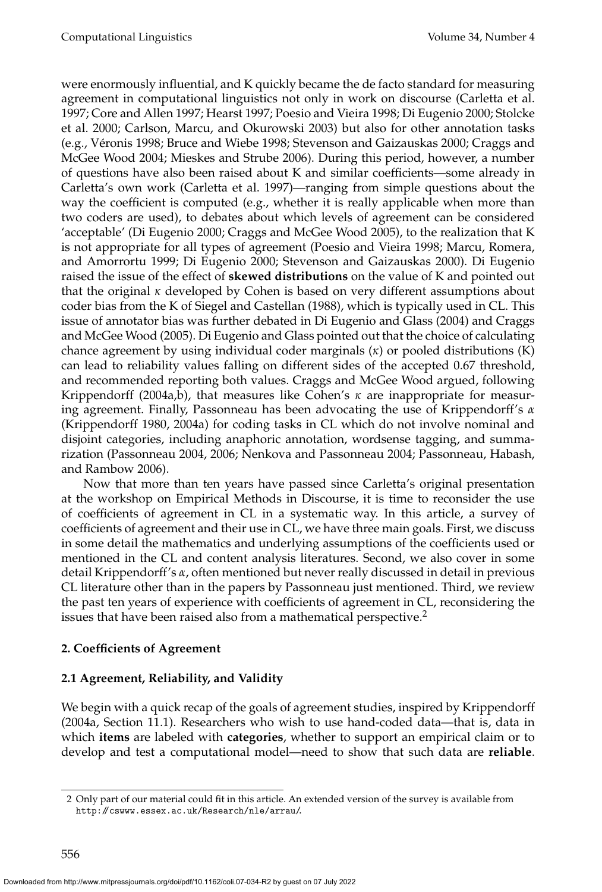were enormously influential, and K quickly became the de facto standard for measuring agreement in computational linguistics not only in work on discourse (Carletta et al. 1997; Core and Allen 1997; Hearst 1997; Poesio and Vieira 1998; Di Eugenio 2000; Stolcke et al. 2000; Carlson, Marcu, and Okurowski 2003) but also for other annotation tasks (e.g., Véronis 1998; Bruce and Wiebe 1998; Stevenson and Gaizauskas 2000; Craggs and McGee Wood 2004; Mieskes and Strube 2006). During this period, however, a number of questions have also been raised about K and similar coefficients—some already in Carletta's own work (Carletta et al. 1997)—ranging from simple questions about the way the coefficient is computed (e.g., whether it is really applicable when more than two coders are used), to debates about which levels of agreement can be considered 'acceptable' (Di Eugenio 2000; Craggs and McGee Wood 2005), to the realization that K is not appropriate for all types of agreement (Poesio and Vieira 1998; Marcu, Romera, and Amorrortu 1999; Di Eugenio 2000; Stevenson and Gaizauskas 2000). Di Eugenio raised the issue of the effect of **skewed distributions** on the value of K and pointed out that the original *κ* developed by Cohen is based on very different assumptions about coder bias from the K of Siegel and Castellan (1988), which is typically used in CL. This issue of annotator bias was further debated in Di Eugenio and Glass (2004) and Craggs and McGee Wood (2005). Di Eugenio and Glass pointed out that the choice of calculating chance agreement by using individual coder marginals (*κ*) or pooled distributions (K) can lead to reliability values falling on different sides of the accepted 0.67 threshold, and recommended reporting both values. Craggs and McGee Wood argued, following Krippendorff (2004a,b), that measures like Cohen's *κ* are inappropriate for measuring agreement. Finally, Passonneau has been advocating the use of Krippendorff's *α* (Krippendorff 1980, 2004a) for coding tasks in CL which do not involve nominal and disjoint categories, including anaphoric annotation, wordsense tagging, and summarization (Passonneau 2004, 2006; Nenkova and Passonneau 2004; Passonneau, Habash, and Rambow 2006).

Now that more than ten years have passed since Carletta's original presentation at the workshopon Empirical Methods in Discourse, it is time to reconsider the use of coefficients of agreement in CL in a systematic way. In this article, a survey of coefficients of agreement and their use in CL, we have three main goals. First, we discuss in some detail the mathematics and underlying assumptions of the coefficients used or mentioned in the CL and content analysis literatures. Second, we also cover in some detail Krippendorff's *α*, often mentioned but never really discussed in detail in previous CL literature other than in the papers by Passonneau just mentioned. Third, we review the past ten years of experience with coefficients of agreement in CL, reconsidering the issues that have been raised also from a mathematical perspective.<sup>2</sup>

# **2. Coefficients of Agreement**

# **2.1 Agreement, Reliability, and Validity**

We begin with a quick recap of the goals of agreement studies, inspired by Krippendorff (2004a, Section 11.1). Researchers who wish to use hand-coded data—that is, data in which **items** are labeled with **categories**, whether to support an empirical claim or to developand test a computational model—need to show that such data are **reliable**.

<sup>2</sup> Only part of our material could fit in this article. An extended version of the survey is available from http://cswww.essex.ac.uk/Research/nle/arrau/.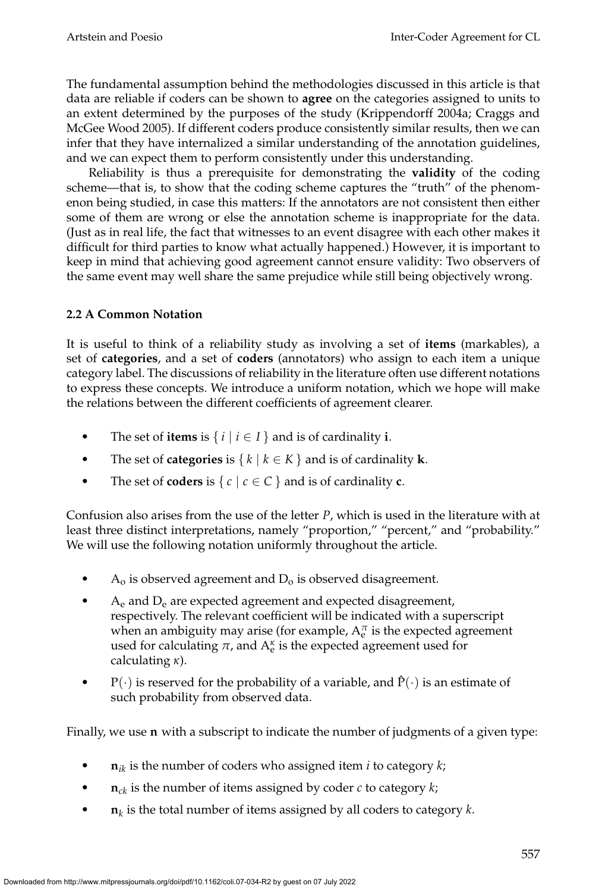The fundamental assumption behind the methodologies discussed in this article is that data are reliable if coders can be shown to **agree** on the categories assigned to units to an extent determined by the purposes of the study (Krippendorff 2004a; Craggs and McGee Wood 2005). If different coders produce consistently similar results, then we can infer that they have internalized a similar understanding of the annotation guidelines, and we can expect them to perform consistently under this understanding.

Reliability is thus a prerequisite for demonstrating the **validity** of the coding scheme—that is, to show that the coding scheme captures the "truth" of the phenomenon being studied, in case this matters: If the annotators are not consistent then either some of them are wrong or else the annotation scheme is inappropriate for the data. (Just as in real life, the fact that witnesses to an event disagree with each other makes it difficult for third parties to know what actually happened.) However, it is important to keep in mind that achieving good agreement cannot ensure validity: Two observers of the same event may well share the same prejudice while still being objectively wrong.

# **2.2 A Common Notation**

It is useful to think of a reliability study as involving a set of **items** (markables), a set of **categories**, and a set of **coders** (annotators) who assign to each item a unique category label. The discussions of reliability in the literature often use different notations to express these concepts. We introduce a uniform notation, which we hope will make the relations between the different coefficients of agreement clearer.

- The set of **items** is  $\{i \mid i \in I\}$  and is of cardinality **i**.
- The set of **categories** is  $\{k \mid k \in K\}$  and is of cardinality **k**.
- The set of **coders** is  $\{c \mid c \in C\}$  and is of cardinality **c**.

Confusion also arises from the use of the letter *P*, which is used in the literature with at least three distinct interpretations, namely "proportion," "percent," and "probability." We will use the following notation uniformly throughout the article.

- $A_0$  is observed agreement and  $D_0$  is observed disagreement.
- $\bullet$  A<sub>e</sub> and  $D_e$  are expected agreement and expected disagreement, respectively. The relevant coefficient will be indicated with a superscript when an ambiguity may arise (for example,  $A_e^{\pi}$  is the expected agreement used for calculating  $\pi$ , and  $A_e^k$  is the expected agreement used for calculating *κ*).
- $P(\cdot)$  is reserved for the probability of a variable, and  $\hat{P}(\cdot)$  is an estimate of such probability from observed data.

Finally, we use **n** with a subscript to indicate the number of judgments of a given type:

- **n***ik* is the number of coders who assigned item *i* to category *k*;
- **n***ck* is the number of items assigned by coder *c* to category *k*;
- **n***<sup>k</sup>* is the total number of items assigned by all coders to category *k*.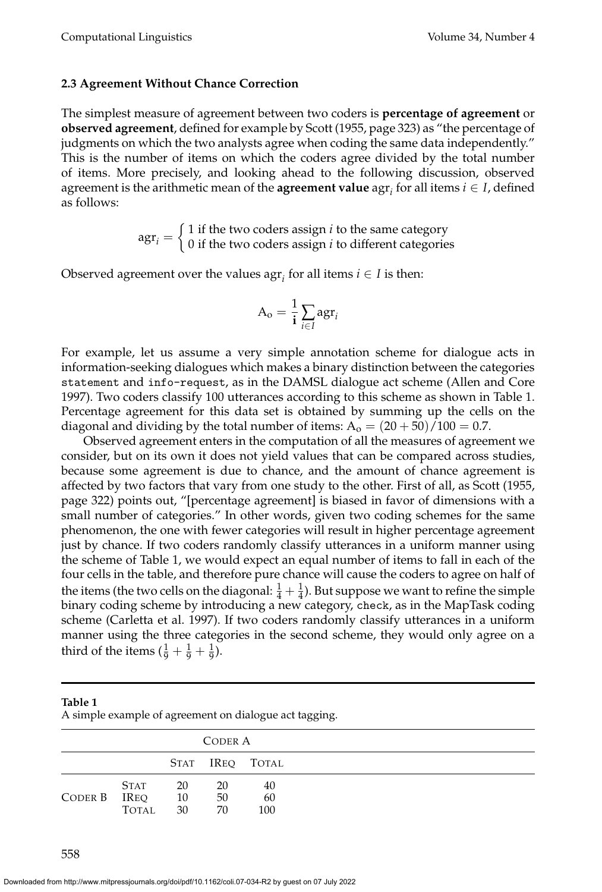#### **2.3 Agreement Without Chance Correction**

The simplest measure of agreement between two coders is **percentage of agreement** or **observed agreement**, defined for example by Scott (1955, page 323) as "the percentage of judgments on which the two analysts agree when coding the same data independently." This is the number of items on which the coders agree divided by the total number of items. More precisely, and looking ahead to the following discussion, observed agreement is the arithmetic mean of the **agreement value** agr<sub>*i*</sub> for all items  $i \in I$ , defined as follows:

> $\text{agr}_i = \begin{cases} 1 \text{ if the two coders assign } i \text{ to the same category} \\ 0 \text{ if the two coders assign } i \text{ to different categorie} \end{cases}$ 0 if the two coders assign *i* to different categories

Observed agreement over the values  $\text{agr}_i$  for all items  $i \in I$  is then:

$$
A_o = \frac{1}{i} \sum_{i \in I} agr_i
$$

For example, let us assume a very simple annotation scheme for dialogue acts in information-seeking dialogues which makes a binary distinction between the categories statement and info-request, as in the DAMSL dialogue act scheme (Allen and Core 1997). Two coders classify 100 utterances according to this scheme as shown in Table 1. Percentage agreement for this data set is obtained by summing up the cells on the diagonal and dividing by the total number of items:  $A_0 = (20 + 50)/100 = 0.7$ .

Observed agreement enters in the computation of all the measures of agreement we consider, but on its own it does not yield values that can be compared across studies, because some agreement is due to chance, and the amount of chance agreement is affected by two factors that vary from one study to the other. First of all, as Scott (1955, page 322) points out, "[percentage agreement] is biased in favor of dimensions with a small number of categories." In other words, given two coding schemes for the same phenomenon, the one with fewer categories will result in higher percentage agreement just by chance. If two coders randomly classify utterances in a uniform manner using the scheme of Table 1, we would expect an equal number of items to fall in each of the four cells in the table, and therefore pure chance will cause the coders to agree on half of the items (the two cells on the diagonal:  $\frac{1}{4} + \frac{1}{4}$ ). But suppose we want to refine the simple binary coding scheme by introducing a new category, check, as in the MapTask coding scheme (Carletta et al. 1997). If two coders randomly classify utterances in a uniform manner using the three categories in the second scheme, they would only agree on a third of the items  $(\frac{1}{9} + \frac{1}{9} + \frac{1}{9})$ .

| ۰.<br>- -<br>×<br>.<br>.,<br>M.<br>۰. |  |
|---------------------------------------|--|
|---------------------------------------|--|

A simple example of agreement on dialogue act tagging.

|              |         |          | CODER A  |                 |
|--------------|---------|----------|----------|-----------------|
|              |         |          |          | STAT IREO TOTAL |
|              | STAT 20 |          | -20      | 40              |
| CODER B IREO | TOTAL.  | 10<br>30 | 50<br>70 | 60<br>100       |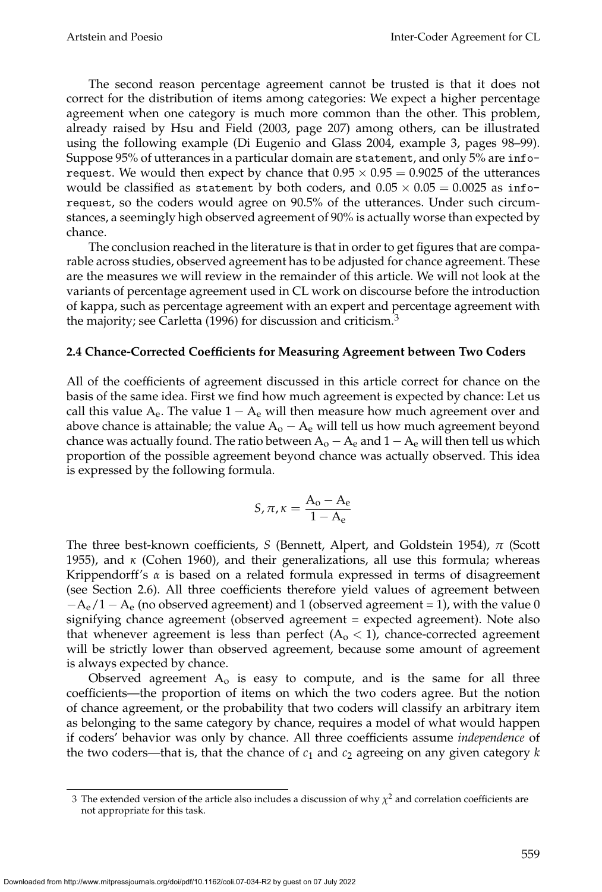The second reason percentage agreement cannot be trusted is that it does not correct for the distribution of items among categories: We expect a higher percentage agreement when one category is much more common than the other. This problem, already raised by Hsu and Field (2003, page 207) among others, can be illustrated using the following example (Di Eugenio and Glass 2004, example 3, pages 98–99). Suppose 95% of utterances in a particular domain are statement, and only 5% are inforequest. We would then expect by chance that  $0.95 \times 0.95 = 0.9025$  of the utterances would be classified as statement by both coders, and  $0.05 \times 0.05 = 0.0025$  as inforequest, so the coders would agree on 90.5% of the utterances. Under such circumstances, a seemingly high observed agreement of 90% is actually worse than expected by chance.

The conclusion reached in the literature is that in order to get figures that are comparable across studies, observed agreement has to be adjusted for chance agreement. These are the measures we will review in the remainder of this article. We will not look at the variants of percentage agreement used in CL work on discourse before the introduction of kappa, such as percentage agreement with an expert and percentage agreement with the majority; see Carletta (1996) for discussion and criticism.<sup>3</sup>

## **2.4 Chance-Corrected Coefficients for Measuring Agreement between Two Coders**

All of the coefficients of agreement discussed in this article correct for chance on the basis of the same idea. First we find how much agreement is expected by chance: Let us call this value  $A_e$ . The value  $1 - A_e$  will then measure how much agreement over and above chance is attainable; the value  $A_0 - A_e$  will tell us how much agreement beyond chance was actually found. The ratio between  $A_0 - A_e$  and  $1 - A_e$  will then tell us which proportion of the possible agreement beyond chance was actually observed. This idea is expressed by the following formula.

$$
\textit{S},\pi,\kappa=\frac{A_o-A_e}{1-A_e}
$$

The three best-known coefficients, *S* (Bennett, Alpert, and Goldstein 1954), *π* (Scott 1955), and *κ* (Cohen 1960), and their generalizations, all use this formula; whereas Krippendorff's *α* is based on a related formula expressed in terms of disagreement (see Section 2.6). All three coefficients therefore yield values of agreement between  $-A_e/1-A_e$  (no observed agreement) and 1 (observed agreement = 1), with the value 0 signifying chance agreement (observed agreement = expected agreement). Note also that whenever agreement is less than perfect  $(A_0 < 1)$ , chance-corrected agreement will be strictly lower than observed agreement, because some amount of agreement is always expected by chance.

Observed agreement  $A_0$  is easy to compute, and is the same for all three coefficients—the proportion of items on which the two coders agree. But the notion of chance agreement, or the probability that two coders will classify an arbitrary item as belonging to the same category by chance, requires a model of what would happen if coders' behavior was only by chance. All three coefficients assume *independence* of the two coders—that is, that the chance of  $c_1$  and  $c_2$  agreeing on any given category  $k$ 

<sup>3</sup> The extended version of the article also includes a discussion of why  $\chi^2$  and correlation coefficients are not appropriate for this task.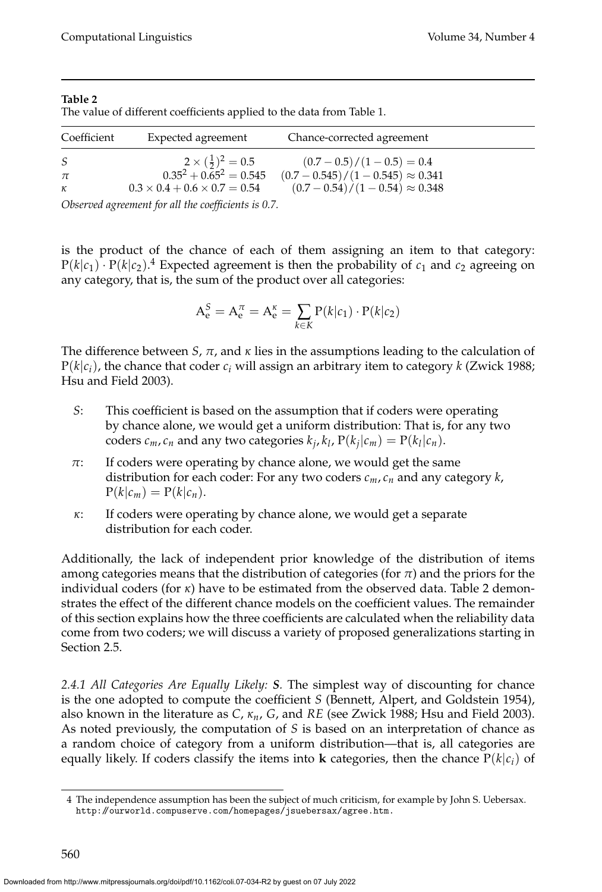|             | The value of different coefficients applied to the data from Table 1. |                                             |  |
|-------------|-----------------------------------------------------------------------|---------------------------------------------|--|
| Coefficient | Expected agreement                                                    | Chance-corrected agreement                  |  |
| S           | $2 \times (\frac{1}{2})^2 = 0.5$                                      | $(0.7-0.5)/(1-0.5)=0.4$                     |  |
| $\pi$       | $0.35^2 + 0.65^2 = 0.545$                                             | $(0.7 - 0.545) / (1 - 0.545) \approx 0.341$ |  |

*κ*  $0.3 \times 0.4 + 0.6 \times 0.7 = 0.54$   $(0.7 - 0.54) / (1 - 0.54) \approx 0.348$ 

| Table 2                                                               |  |  |
|-----------------------------------------------------------------------|--|--|
| The value of different coefficients applied to the data from Table 1. |  |  |

*Observed agreement for all the coefficients is 0.7.*

is the product of the chance of each of them assigning an item to that category:  $P(k|c_1) \cdot P(k|c_2)$ .<sup>4</sup> Expected agreement is then the probability of  $c_1$  and  $c_2$  agreeing on any category, that is, the sum of the product over all categories:

$$
A_e^S = A_e^{\pi} = A_e^{\kappa} = \sum_{k \in K} P(k|c_1) \cdot P(k|c_2)
$$

The difference between *S*, *π*, and *κ* lies in the assumptions leading to the calculation of  $P(k|c_i)$ , the chance that coder  $c_i$  will assign an arbitrary item to category *k* (Zwick 1988; Hsu and Field 2003).

- *S*: This coefficient is based on the assumption that if coders were operating by chance alone, we would get a uniform distribution: That is, for any two coders  $c_m$ ,  $c_n$  and any two categories  $k_i$ ,  $k_l$ ,  $P(k_i|c_m) = P(k_l|c_n)$ .
- *π*: If coders were operating by chance alone, we would get the same distribution for each coder: For any two coders *cm*, *cn* and any category *k*,  $P(k|c_m) = P(k|c_n).$
- *κ*: If coders were operating by chance alone, we would get a separate distribution for each coder.

Additionally, the lack of independent prior knowledge of the distribution of items among categories means that the distribution of categories (for *π*) and the priors for the individual coders (for *κ*) have to be estimated from the observed data. Table 2 demonstrates the effect of the different chance models on the coefficient values. The remainder of this section explains how the three coefficients are calculated when the reliability data come from two coders; we will discuss a variety of proposed generalizations starting in Section 2.5.

*2.4.1 All Categories Are Equally Likely: S.* The simplest way of discounting for chance is the one adopted to compute the coefficient *S* (Bennett, Alpert, and Goldstein 1954), also known in the literature as *C*, *κn*, *G*, and *RE* (see Zwick 1988; Hsu and Field 2003). As noted previously, the computation of *S* is based on an interpretation of chance as a random choice of category from a uniform distribution—that is, all categories are equally likely. If coders classify the items into **k** categories, then the chance  $P(k|c_i)$  of

<sup>4</sup> The independence assumption has been the subject of much criticism, for example by John S. Uebersax. http://ourworld.compuserve.com/homepages/jsuebersax/agree.htm.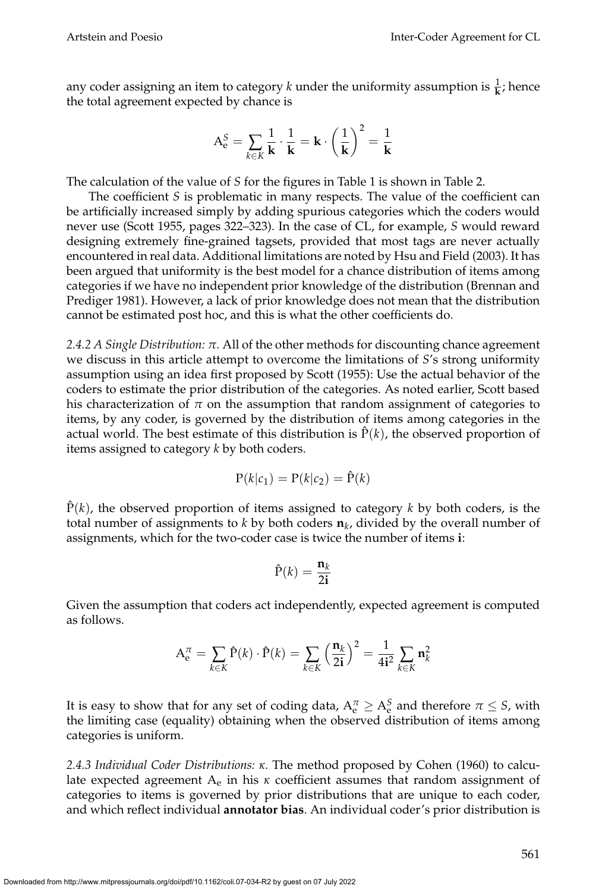any coder assigning an item to category  $k$  under the uniformity assumption is  $\frac{1}{k}$ ; hence the total agreement expected by chance is

$$
A_e^S = \sum_{k \in K} \frac{1}{k} \cdot \frac{1}{k} = k \cdot \left(\frac{1}{k}\right)^2 = \frac{1}{k}
$$

The calculation of the value of *S* for the figures in Table 1 is shown in Table 2.

The coefficient *S* is problematic in many respects. The value of the coefficient can be artificially increased simply by adding spurious categories which the coders would never use (Scott 1955, pages 322–323). In the case of CL, for example, *S* would reward designing extremely fine-grained tagsets, provided that most tags are never actually encountered in real data. Additional limitations are noted by Hsu and Field (2003). It has been argued that uniformity is the best model for a chance distribution of items among categories if we have no independent prior knowledge of the distribution (Brennan and Prediger 1981). However, a lack of prior knowledge does not mean that the distribution cannot be estimated post hoc, and this is what the other coefficients do.

*2.4.2 A Single Distribution: π.* All of the other methods for discounting chance agreement we discuss in this article attempt to overcome the limitations of *S*'s strong uniformity assumption using an idea first proposed by Scott (1955): Use the actual behavior of the coders to estimate the prior distribution of the categories. As noted earlier, Scott based his characterization of  $\pi$  on the assumption that random assignment of categories to items, by any coder, is governed by the distribution of items among categories in the actual world. The best estimate of this distribution is  $\hat{P}(k)$ , the observed proportion of items assigned to category *k* by both coders.

$$
P(k|c_1) = P(k|c_2) = \hat{P}(k)
$$

 $\hat{P}(k)$ , the observed proportion of items assigned to category k by both coders, is the total number of assignments to *k* by both coders  $\mathbf{n}_k$ , divided by the overall number of assignments, which for the two-coder case is twice the number of items **i**:

$$
\hat{\mathrm{P}}(k) = \frac{\mathbf{n}_k}{2\mathbf{i}}
$$

Given the assumption that coders act independently, expected agreement is computed as follows.

$$
A_e^{\pi} = \sum_{k \in K} \hat{P}(k) \cdot \hat{P}(k) = \sum_{k \in K} \left(\frac{\mathbf{n}_k}{2\mathbf{i}}\right)^2 = \frac{1}{4\mathbf{i}^2} \sum_{k \in K} \mathbf{n}_k^2
$$

It is easy to show that for any set of coding data,  $A_e^{\pi} \ge A_e^S$  and therefore  $\pi \le S$ , with the limiting case (equality) obtaining when the observed distribution of items among categories is uniform.

*2.4.3 Individual Coder Distributions: κ.* The method proposed by Cohen (1960) to calculate expected agreement  $A_e$  in his  $\kappa$  coefficient assumes that random assignment of categories to items is governed by prior distributions that are unique to each coder, and which reflect individual **annotator bias**. An individual coder's prior distribution is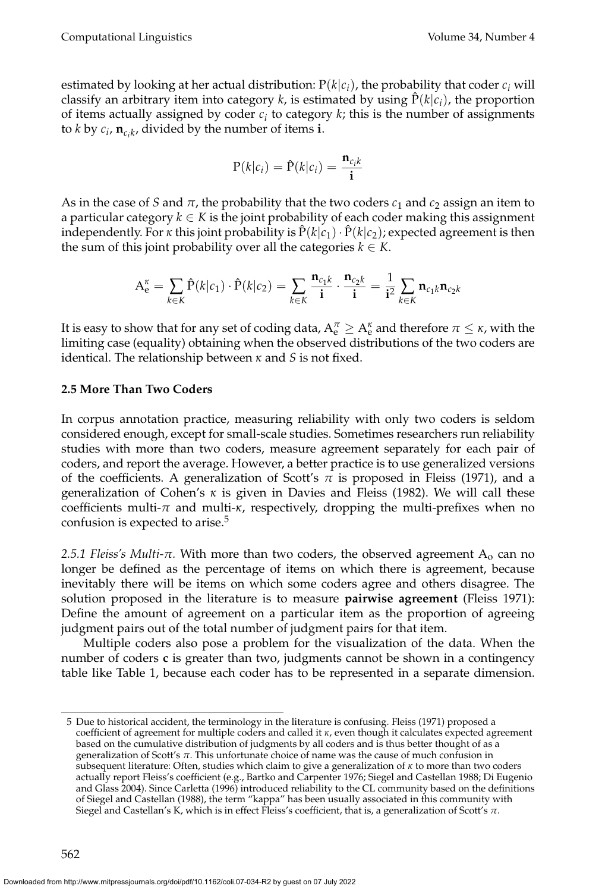estimated by looking at her actual distribution:  $P(k|c_i)$ , the probability that coder  $c_i$  will classify an arbitrary item into category *k*, is estimated by using  $\hat{P}(k|c_i)$ , the proportion of items actually assigned by coder *ci* to category *k*; this is the number of assignments to *k* by  $c_i$ ,  $\mathbf{n}_{c,k}$ , divided by the number of items **i**.

$$
P(k|c_i) = \hat{P}(k|c_i) = \frac{\mathbf{n}_{c_i k}}{\mathbf{i}}
$$

As in the case of *S* and  $\pi$ , the probability that the two coders  $c_1$  and  $c_2$  assign an item to a particular category  $k \in K$  is the joint probability of each coder making this assignment independently. For *κ* this joint probability is  $\hat{P}(k|c_1) \cdot \hat{P}(k|c_2)$ ; expected agreement is then the sum of this joint probability over all the categories  $k \in K$ .

$$
A_e^{\kappa} = \sum_{k \in K} \hat{P}(k|c_1) \cdot \hat{P}(k|c_2) = \sum_{k \in K} \frac{n_{c_1 k}}{i} \cdot \frac{n_{c_2 k}}{i} = \frac{1}{i^2} \sum_{k \in K} n_{c_1 k} n_{c_2 k}
$$

It is easy to show that for any set of coding data,  $A_e^{\pi} \ge A_e^{\kappa}$  and therefore  $\pi \le \kappa$ , with the limiting case (equality) obtaining when the observed distributions of the two coders are identical. The relationship between  $\kappa$  and  $S$  is not fixed.

## **2.5 More Than Two Coders**

In corpus annotation practice, measuring reliability with only two coders is seldom considered enough, except for small-scale studies. Sometimes researchers run reliability studies with more than two coders, measure agreement separately for each pair of coders, and report the average. However, a better practice is to use generalized versions of the coefficients. A generalization of Scott's  $\pi$  is proposed in Fleiss (1971), and a generalization of Cohen's *κ* is given in Davies and Fleiss (1982). We will call these coefficients multi- $\pi$  and multi- $\kappa$ , respectively, dropping the multi-prefixes when no confusion is expected to arise.<sup>5</sup>

2.5.1 Fleiss's Multi- $π$ . With more than two coders, the observed agreement  $A<sub>o</sub>$  can no longer be defined as the percentage of items on which there is agreement, because inevitably there will be items on which some coders agree and others disagree. The solution proposed in the literature is to measure **pairwise agreement** (Fleiss 1971): Define the amount of agreement on a particular item as the proportion of agreeing judgment pairs out of the total number of judgment pairs for that item.

Multiple coders also pose a problem for the visualization of the data. When the number of coders **c** is greater than two, judgments cannot be shown in a contingency table like Table 1, because each coder has to be represented in a separate dimension.

<sup>5</sup> Due to historical accident, the terminology in the literature is confusing. Fleiss (1971) proposed a coefficient of agreement for multiple coders and called it *κ*, even though it calculates expected agreement based on the cumulative distribution of judgments by all coders and is thus better thought of as a generalization of Scott's *π*. This unfortunate choice of name was the cause of much confusion in subsequent literature: Often, studies which claim to give a generalization of *κ* to more than two coders actually report Fleiss's coefficient (e.g., Bartko and Carpenter 1976; Siegel and Castellan 1988; Di Eugenio and Glass 2004). Since Carletta (1996) introduced reliability to the CL community based on the definitions of Siegel and Castellan (1988), the term "kappa" has been usually associated in this community with Siegel and Castellan's K, which is in effect Fleiss's coefficient, that is, a generalization of Scott's *π*.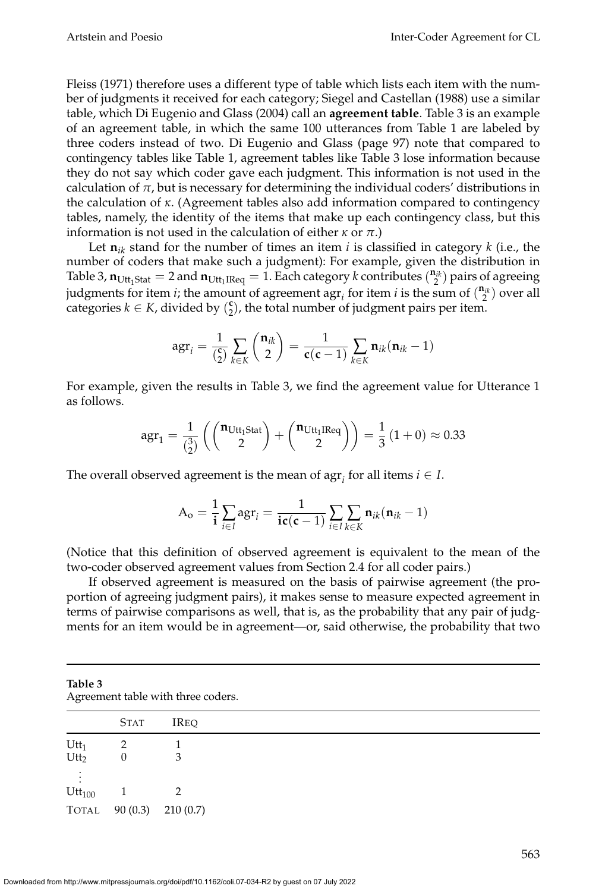Fleiss (1971) therefore uses a different type of table which lists each item with the number of judgments it received for each category; Siegel and Castellan (1988) use a similar table, which Di Eugenio and Glass (2004) call an **agreement table**. Table 3 is an example of an agreement table, in which the same 100 utterances from Table 1 are labeled by three coders instead of two. Di Eugenio and Glass (page 97) note that compared to contingency tables like Table 1, agreement tables like Table 3 lose information because they do not say which coder gave each judgment. This information is not used in the calculation of *π*, but is necessary for determining the individual coders' distributions in the calculation of *κ*. (Agreement tables also add information compared to contingency tables, namely, the identity of the items that make up each contingency class, but this information is not used in the calculation of either  $\kappa$  or  $\pi$ .)

Let  $\mathbf{n}_{ik}$  stand for the number of times an item *i* is classified in category *k* (i.e., the number of coders that make such a judgment): For example, given the distribution in Table 3,  $n_{Utt_1Stat} = 2$  and  $n_{Utt_1IReq} = 1$ . Each category *k* contributes  $\binom{n_{ik}}{2}$  pairs of agreeing judgments for item *i*; the amount of agreement  $\arg r_i$  for item *i* is the sum of  $\binom{n_{ik}}{2}$  over all categories  $k \in K$ , divided by  $\binom{c}{2}$ , the total number of judgment pairs per item.

$$
\text{agr}_i = \frac{1}{\binom{c}{2}} \sum_{k \in K} \binom{\mathbf{n}_{ik}}{2} = \frac{1}{\mathbf{c}(\mathbf{c}-1)} \sum_{k \in K} \mathbf{n}_{ik}(\mathbf{n}_{ik}-1)
$$

For example, given the results in Table 3, we find the agreement value for Utterance 1 as follows.

$$
\text{agr}_1 = \frac{1}{\binom{3}{2}} \left( \binom{\textbf{n}_{Utt_1}\text{Stat}}{2} + \binom{\textbf{n}_{Utt_1}\text{IReq}}{2} \right) = \frac{1}{3} \left( 1 + 0 \right) \approx 0.33
$$

The overall observed agreement is the mean of agr<sub>*i*</sub> for all items  $i \in I$ .

$$
A_{o} = \frac{1}{i} \sum_{i \in I} agr_{i} = \frac{1}{ic(c-1)} \sum_{i \in I} \sum_{k \in K} n_{ik} (n_{ik} - 1)
$$

(Notice that this definition of observed agreement is equivalent to the mean of the two-coder observed agreement values from Section 2.4 for all coder pairs.)

If observed agreement is measured on the basis of pairwise agreement (the proportion of agreeing judgment pairs), it makes sense to measure expected agreement in terms of pairwise comparisons as well, that is, as the probability that any pair of judgments for an item would be in agreement—or, said otherwise, the probability that two

|                               | Agreement table with three coders. |             |  |  |  |  |
|-------------------------------|------------------------------------|-------------|--|--|--|--|
|                               | <b>STAT</b>                        | <b>IREO</b> |  |  |  |  |
| $\rm{Utt_1} \over \rm{Utt_2}$ | 2<br>$\theta$                      | 3           |  |  |  |  |
| $\vdots$<br>$Utt_{100}$       | -1                                 |             |  |  |  |  |
| TOTAL                         | 90(0.3)                            | 210(0.7)    |  |  |  |  |

**Table 3**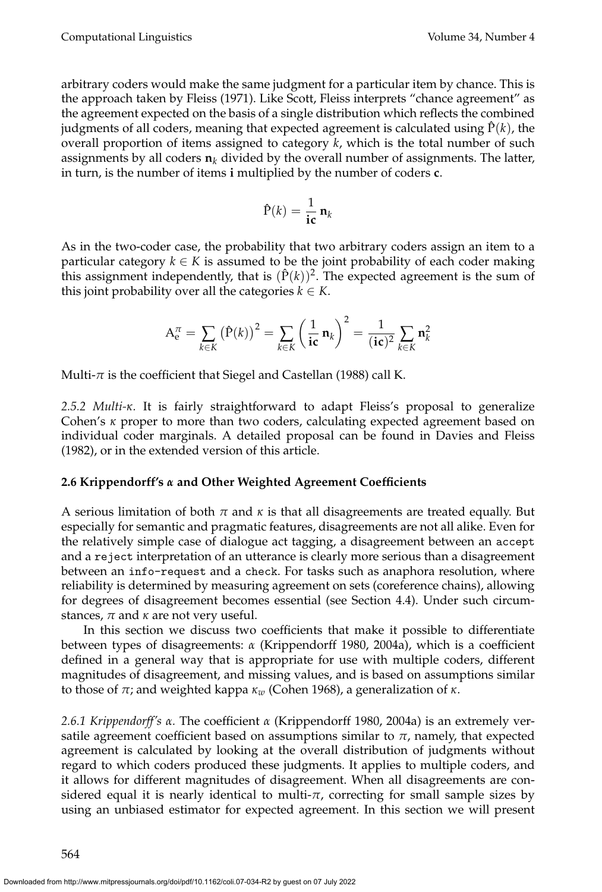arbitrary coders would make the same judgment for a particular item by chance. This is the approach taken by Fleiss (1971). Like Scott, Fleiss interprets "chance agreement" as the agreement expected on the basis of a single distribution which reflects the combined judgments of all coders, meaning that expected agreement is calculated using  $\hat{P}(k)$ , the overall proportion of items assigned to category *k*, which is the total number of such assignments by all coders  $\mathbf{n}_k$  divided by the overall number of assignments. The latter, in turn, is the number of items **i** multiplied by the number of coders **c**.

$$
\hat{\mathrm{P}}(k) = \frac{1}{\mathbf{i} \mathbf{c}} \, \mathbf{n}_k
$$

As in the two-coder case, the probability that two arbitrary coders assign an item to a particular category  $k \in K$  is assumed to be the joint probability of each coder making this assignment independently, that is  $(\hat{P}(k))^2$ . The expected agreement is the sum of this joint probability over all the categories  $k \in K$ .

$$
A_e^{\pi} = \sum_{k \in K} (\hat{P}(k))^2 = \sum_{k \in K} \left(\frac{1}{ic} n_k\right)^2 = \frac{1}{(ic)^2} \sum_{k \in K} n_k^2
$$

Multi-*π* is the coefficient that Siegel and Castellan (1988) call K.

*2.5.2 Multi-κ.* It is fairly straightforward to adapt Fleiss's proposal to generalize Cohen's *κ* proper to more than two coders, calculating expected agreement based on individual coder marginals. A detailed proposal can be found in Davies and Fleiss (1982), or in the extended version of this article.

## **2.6 Krippendorff's** *α* **and Other Weighted Agreement Coefficients**

A serious limitation of both  $\pi$  and  $\kappa$  is that all disagreements are treated equally. But especially for semantic and pragmatic features, disagreements are not all alike. Even for the relatively simple case of dialogue act tagging, a disagreement between an accept and a reject interpretation of an utterance is clearly more serious than a disagreement between an info-request and a check. For tasks such as anaphora resolution, where reliability is determined by measuring agreement on sets (coreference chains), allowing for degrees of disagreement becomes essential (see Section 4.4). Under such circumstances,  $\pi$  and  $\kappa$  are not very useful.

In this section we discuss two coefficients that make it possible to differentiate between types of disagreements: *α* (Krippendorff 1980, 2004a), which is a coefficient defined in a general way that is appropriate for use with multiple coders, different magnitudes of disagreement, and missing values, and is based on assumptions similar to those of *π*; and weighted kappa *κw* (Cohen 1968), a generalization of *κ*.

*2.6.1 Krippendorff's α.* The coefficient *α* (Krippendorff 1980, 2004a) is an extremely versatile agreement coefficient based on assumptions similar to  $\pi$ , namely, that expected agreement is calculated by looking at the overall distribution of judgments without regard to which coders produced these judgments. It applies to multiple coders, and it allows for different magnitudes of disagreement. When all disagreements are considered equal it is nearly identical to multi- $\pi$ , correcting for small sample sizes by using an unbiased estimator for expected agreement. In this section we will present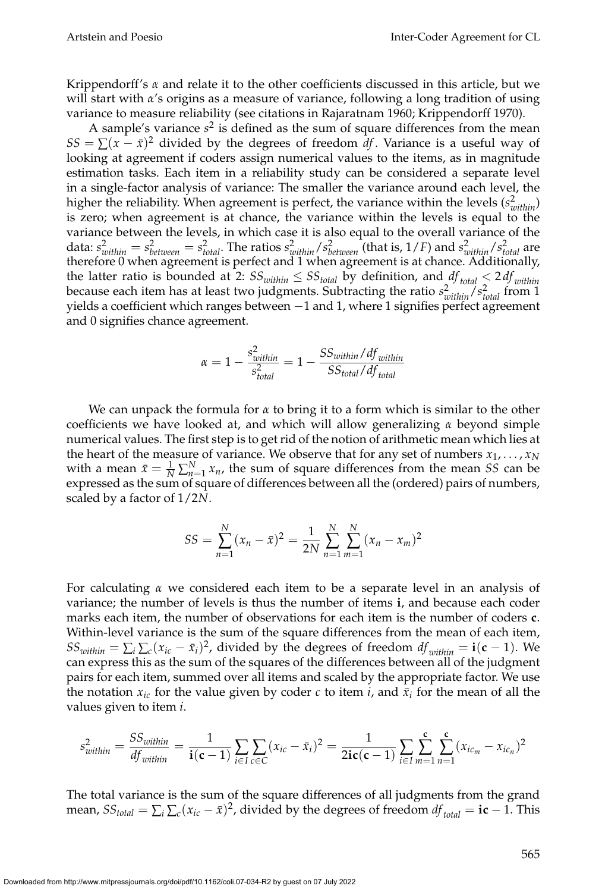Krippendorff's *α* and relate it to the other coefficients discussed in this article, but we will start with *α*'s origins as a measure of variance, following a long tradition of using variance to measure reliability (see citations in Rajaratnam 1960; Krippendorff 1970).

A sample's variance  $s^2$  is defined as the sum of square differences from the mean  $SS = \sum (x - \bar{x})^2$  divided by the degrees of freedom *df*. Variance is a useful way of looking at agreement if coders assign numerical values to the items, as in magnitude estimation tasks. Each item in a reliability study can be considered a separate level in a single-factor analysis of variance: The smaller the variance around each level, the higher the reliability. When agreement is perfect, the variance within the levels  $(s^2_{within})$ is zero; when agreement is at chance, the variance within the levels is equal to the variance between the levels, in which case it is also equal to the overall variance of the data:  $s^2_{within} = s^2_{between} = s^2_{total}$ . The ratios  $s^2_{within}/s^2_{between}$  (that is,  $1/F$ ) and  $s^2_{within}/s^2_{total}$  are therefore 0 when agreement is perfect and 1 when agreement is at chance. Additionally, the latter ratio is bounded at 2:  $SS_{within} \leq SS_{total}$  by definition, and  $df_{total} \leq 2 df_{within}$ because each item has at least two judgments. Subtracting the ratio  $s^2_{within}/s^2_{total}$  from 1 yields a coefficient which ranges between −1 and 1, where 1 signifies perfect agreement and 0 signifies chance agreement.

$$
\alpha = 1 - \frac{s_{within}^2}{s_{total}^2} = 1 - \frac{SS_{within}/df_{within}}{SS_{total}/df_{total}}
$$

We can unpack the formula for *α* to bring it to a form which is similar to the other coefficients we have looked at, and which will allow generalizing *α* beyond simple numerical values. The first stepis to get rid of the notion of arithmetic mean which lies at the heart of the measure of variance. We observe that for any set of numbers  $x_1, \ldots, x_N$ with a mean  $\bar{x} = \frac{1}{N} \sum_{n=1}^{N} x_n$ , the sum of square differences from the mean *SS* can be expressed as the sum of square of differences between all the (ordered) pairs of numbers, scaled by a factor of 1/2*N*.

$$
SS = \sum_{n=1}^{N} (x_n - \bar{x})^2 = \frac{1}{2N} \sum_{n=1}^{N} \sum_{m=1}^{N} (x_n - x_m)^2
$$

For calculating *α* we considered each item to be a separate level in an analysis of variance; the number of levels is thus the number of items **i**, and because each coder marks each item, the number of observations for each item is the number of coders **c**. Within-level variance is the sum of the square differences from the mean of each item,  $SS_{within} = \sum_i \sum_c (x_{ic} - \bar{x}_i)^2$ , divided by the degrees of freedom  $df_{within} = \mathbf{i}(\mathbf{c} - 1)$ . We can express this as the sum of the squares of the differences between all of the judgment pairs for each item, summed over all items and scaled by the appropriate factor. We use the notation  $x_{ic}$  for the value given by coder *c* to item *i*, and  $\bar{x}_i$  for the mean of all the values given to item *i*.

$$
s_{within}^2 = \frac{SS_{within}}{df_{within}} = \frac{1}{\mathbf{i}(\mathbf{c}-1)} \sum_{i \in I} \sum_{c \in C} (x_{ic} - \bar{x}_i)^2 = \frac{1}{2\mathbf{i}(\mathbf{c} - 1)} \sum_{i \in I} \sum_{m=1}^{\mathbf{c}} \sum_{n=1}^{\mathbf{c}} (x_{ic_m} - x_{ic_n})^2
$$

The total variance is the sum of the square differences of all judgments from the grand mean,  $SS_{total} = \sum_{i} \sum_{c} (x_{ic} - \bar{x})^2$ , divided by the degrees of freedom  $df_{total} = i\mathbf{c} - 1$ . This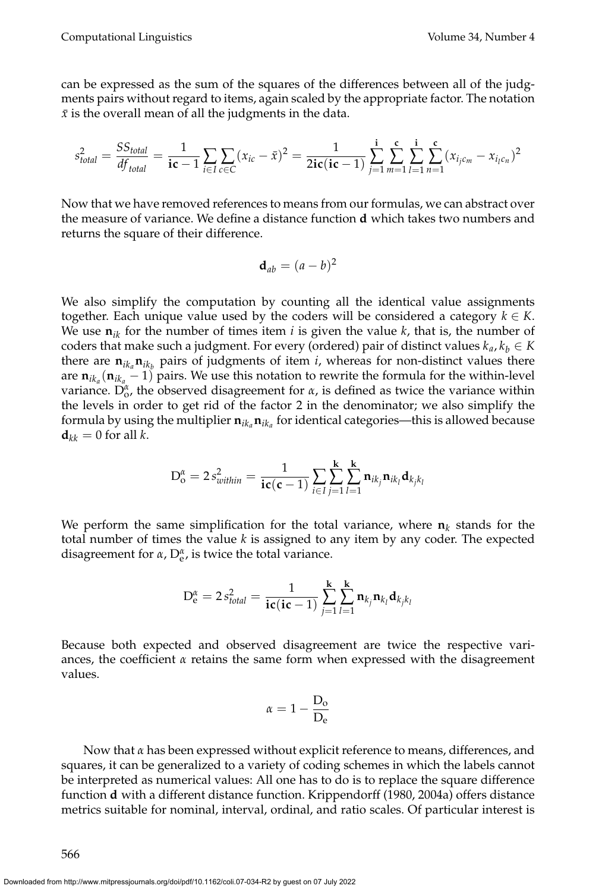can be expressed as the sum of the squares of the differences between all of the judgments pairs without regard to items, again scaled by the appropriate factor. The notation  $\bar{x}$  is the overall mean of all the judgments in the data.

$$
s_{total}^2 = \frac{SS_{total}}{df_{total}} = \frac{1}{\mathbf{i}\mathbf{c} - 1} \sum_{i \in I} \sum_{c \in C} (x_{ic} - \bar{x})^2 = \frac{1}{2\mathbf{i}\mathbf{c}(\mathbf{i}\mathbf{c} - 1)} \sum_{j=1}^{\mathbf{i}} \sum_{m=1}^{\mathbf{c}} \sum_{l=1}^{\mathbf{i}} \sum_{n=1}^{\mathbf{c}} (x_{i_jc_m} - x_{i_lc_n})^2
$$

Now that we have removed references to means from our formulas, we can abstract over the measure of variance. We define a distance function **d** which takes two numbers and returns the square of their difference.

$$
\mathbf{d}_{ab}=(a-b)^2
$$

We also simplify the computation by counting all the identical value assignments together. Each unique value used by the coders will be considered a category  $k \in K$ . We use **n***ik* for the number of times item *i* is given the value *k*, that is, the number of coders that make such a judgment. For every (ordered) pair of distinct values  $k_a, k_b \in K$ there are  $\mathbf{n}_{ik_a}\mathbf{n}_{ik_b}$  pairs of judgments of item *i*, whereas for non-distinct values there are  $\mathbf{n}_{ik_a}(\mathbf{n}_{ik_a}-1)$  pairs. We use this notation to rewrite the formula for the within-level variance.  $\vec{D}_{\alpha}^{\alpha}$ , the observed disagreement for  $\alpha$ , is defined as twice the variance within the levels in order to get rid of the factor 2 in the denominator; we also simplify the formula by using the multiplier  $\mathbf{n}_{ik_a}\mathbf{n}_{ik_a}$  for identical categories—this is allowed because  **for all** *k***.** 

$$
\mathrm{D}_\mathrm{o}^\alpha=2\,s_{within}^2=\frac{1}{\mathbf{i}\mathbf{c}(\mathbf{c}-1)}\sum_{i\in I}\sum_{j=1}^{\mathbf{k}}\sum_{l=1}^{\mathbf{k}}\mathbf{n}_{ik_j}\mathbf{n}_{ik_l}\mathbf{d}_{k_jk_l}
$$

We perform the same simplification for the total variance, where  $\mathbf{n}_k$  stands for the total number of times the value *k* is assigned to any item by any coder. The expected disagreement for  $\alpha$ ,  $D_e^{\alpha}$ , is twice the total variance.

$$
\mathbf{D_e^{\alpha}} = 2 s_{total}^2 = \frac{1}{\mathbf{i} \mathbf{c} (\mathbf{i} \mathbf{c} - 1)} \sum_{j=1}^{\mathbf{k}} \sum_{l=1}^{\mathbf{k}} \mathbf{n}_{k_j} \mathbf{n}_{k_l} \mathbf{d}_{k_j k_l}
$$

Because both expected and observed disagreement are twice the respective variances, the coefficient  $\alpha$  retains the same form when expressed with the disagreement values.

$$
\alpha=1-\frac{D_o}{D_e}
$$

Now that *α* has been expressed without explicit reference to means, differences, and squares, it can be generalized to a variety of coding schemes in which the labels cannot be interpreted as numerical values: All one has to do is to replace the square difference function **d** with a different distance function. Krippendorff (1980, 2004a) offers distance metrics suitable for nominal, interval, ordinal, and ratio scales. Of particular interest is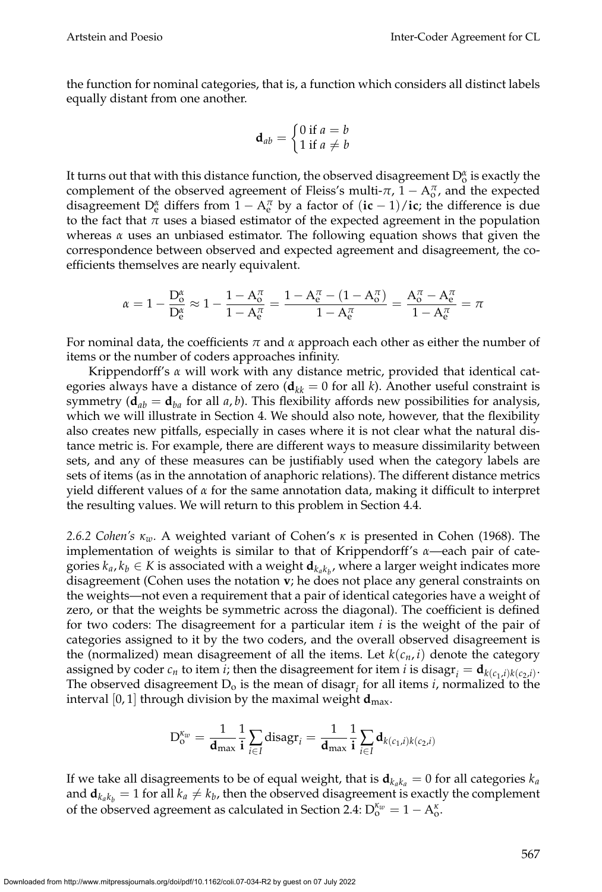the function for nominal categories, that is, a function which considers all distinct labels equally distant from one another.

$$
\mathbf{d}_{ab} = \begin{cases} 0 \text{ if } a = b \\ 1 \text{ if } a \neq b \end{cases}
$$

It turns out that with this distance function, the observed disagreement  $D_0^{\alpha}$  is exactly the complement of the observed agreement of Fleiss's multi- $\pi$ ,  $1 - A_0^{\pi}$ , and the expected disagreement  $D_e^{\alpha}$  differs from  $1 - A_e^{\pi}$  by a factor of  $(i\mathbf{c} - 1)/i\mathbf{c}$ ; the difference is due to the fact that  $\pi$  uses a biased estimator of the expected agreement in the population whereas  $\alpha$  uses an unbiased estimator. The following equation shows that given the correspondence between observed and expected agreement and disagreement, the coefficients themselves are nearly equivalent.

$$
\alpha = 1 - \frac{D_0^{\alpha}}{D_e^{\alpha}} \approx 1 - \frac{1 - A_0^{\pi}}{1 - A_e^{\pi}} = \frac{1 - A_e^{\pi} - (1 - A_0^{\pi})}{1 - A_e^{\pi}} = \frac{A_0^{\pi} - A_e^{\pi}}{1 - A_e^{\pi}} = \pi
$$

For nominal data, the coefficients  $\pi$  and  $\alpha$  approach each other as either the number of items or the number of coders approaches infinity.

Krippendorff's *α* will work with any distance metric, provided that identical categories always have a distance of zero  $(\mathbf{d}_{kk} = 0 \text{ for all } k)$ . Another useful constraint is symmetry ( $\mathbf{d}_{ab} = \mathbf{d}_{ba}$  for all *a*, *b*). This flexibility affords new possibilities for analysis, which we will illustrate in Section 4. We should also note, however, that the flexibility also creates new pitfalls, especially in cases where it is not clear what the natural distance metric is. For example, there are different ways to measure dissimilarity between sets, and any of these measures can be justifiably used when the category labels are sets of items (as in the annotation of anaphoric relations). The different distance metrics yield different values of *α* for the same annotation data, making it difficult to interpret the resulting values. We will return to this problem in Section 4.4.

*2.6.2 Cohen's κw.* A weighted variant of Cohen's *κ* is presented in Cohen (1968). The implementation of weights is similar to that of Krippendorff's *α*—each pair of categories  $k_a$ ,  $k_b \in K$  is associated with a weight  $\mathbf{d}_{k_a k_b}$ , where a larger weight indicates more disagreement (Cohen uses the notation **v**; he does not place any general constraints on the weights—not even a requirement that a pair of identical categories have a weight of zero, or that the weights be symmetric across the diagonal). The coefficient is defined for two coders: The disagreement for a particular item *i* is the weight of the pair of categories assigned to it by the two coders, and the overall observed disagreement is the (normalized) mean disagreement of all the items. Let  $k(c_n, i)$  denote the category assigned by coder  $c_n$  to item *i*; then the disagreement for item *i* is disagr<sub>*i*</sub> =  $\mathbf{d}_{k(c_1,i)k(c_2,i)}$ . The observed disagreement  $D_0$  is the mean of disagr<sub>*i*</sub> for all items *i*, normalized to the interval  $[0, 1]$  through division by the maximal weight  $d_{\text{max}}$ .

$$
\mathsf{D}_\mathsf{o}^{\mathcal{K}_w} = \frac{1}{\mathbf{d}_{\max}} \frac{1}{\mathbf{i}} \sum_{i \in I} \text{disagr}_i = \frac{1}{\mathbf{d}_{\max}} \frac{1}{\mathbf{i}} \sum_{i \in I} \mathbf{d}_{k(c_1, i)k(c_2, i)}
$$

If we take all disagreements to be of equal weight, that is  $\mathbf{d}_{k_a k_a} = 0$  for all categories  $k_a$ and  $\mathbf{d}_{k_{a}k_{b}} = 1$  for all  $k_{a} \neq k_{b}$ , then the observed disagreement is exactly the complement of the observed agreement as calculated in Section 2.4:  $D_0^{\kappa_w} = 1 - A_0^{\kappa_w}$ .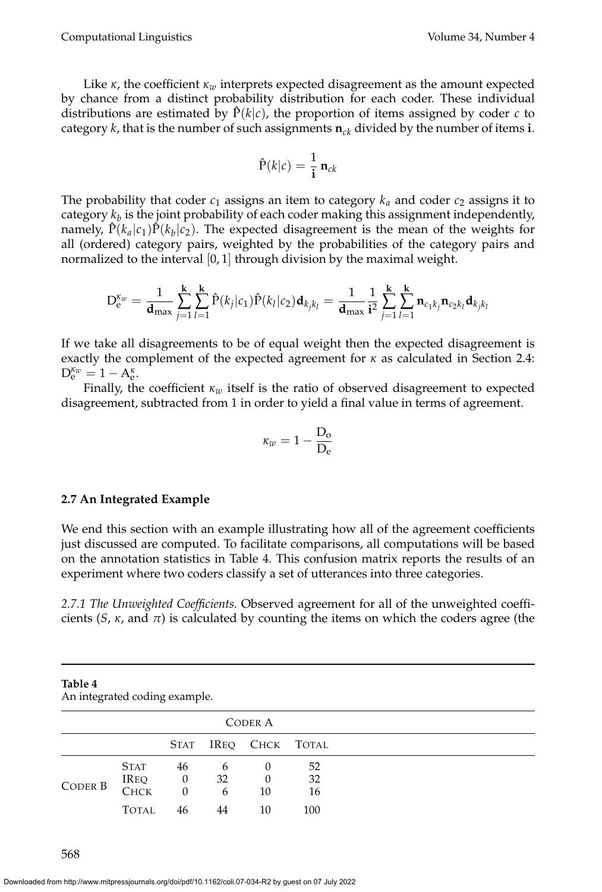Like  $\kappa$ , the coefficient  $\kappa_w$  interprets expected disagreement as the amount expected by chance from a distinct probability distribution for each coder. These individual distributions are estimated by  $\hat{P}(k|c)$ , the proportion of items assigned by coder *c* to category *k*, that is the number of such assignments **n***ck* divided by the number of items **i**.

$$
\hat{P}(k|c) = \frac{1}{i} \, \mathbf{n}_{ck}
$$

The probability that coder  $c_1$  assigns an item to category  $k_a$  and coder  $c_2$  assigns it to category  $k_b$  is the joint probability of each coder making this assignment independently, namely,  $\hat{P}(k_a|c_1)\hat{P}(k_b|c_2)$ . The expected disagreement is the mean of the weights for all (ordered) category pairs, weighted by the probabilities of the category pairs and normalized to the interval [0, 1] through division by the maximal weight.

$$
D_e^{\kappa_w} = \frac{1}{\mathbf{d}_{\max}} \sum_{j=1}^{\mathbf{k}} \sum_{l=1}^{\mathbf{k}} \hat{P}(k_j | c_1) \hat{P}(k_l | c_2) \mathbf{d}_{k_j k_l} = \frac{1}{\mathbf{d}_{\max}} \frac{1}{\mathbf{i}^2} \sum_{j=1}^{\mathbf{k}} \sum_{l=1}^{\mathbf{k}} \mathbf{n}_{c_1 k_j} \mathbf{n}_{c_2 k_l} \mathbf{d}_{k_j k_l}
$$

If we take all disagreements to be of equal weight then the expected disagreement is exactly the complement of the expected agreement for  $\kappa$  as calculated in Section 2.4:  $D_{e}^{\kappa_{w}} = 1 - A_{e}^{\kappa}.$ 

Finally, the coefficient  $\kappa_w$  itself is the ratio of observed disagreement to expected disagreement, subtracted from 1 in order to yield a final value in terms of agreement.

$$
\kappa_w = 1 - \frac{D_o}{D_e}
$$

## **2.7 An Integrated Example**

We end this section with an example illustrating how all of the agreement coefficients just discussed are computed. To facilitate comparisons, all computations will be based on the annotation statistics in Table 4. This confusion matrix reports the results of an experiment where two coders classify a set of utterances into three categories.

*2.7.1 The Unweighted Coefficients.* Observed agreement for all of the unweighted coefficients  $(S, \kappa, \text{ and } \pi)$  is calculated by counting the items on which the coders agree (the

| An integrated coding example. |                             |                                  |              |                     |                      |  |  |  |
|-------------------------------|-----------------------------|----------------------------------|--------------|---------------------|----------------------|--|--|--|
|                               |                             |                                  |              | <b>CODER A</b>      |                      |  |  |  |
|                               |                             |                                  |              |                     | STAT IREQ CHCK TOTAL |  |  |  |
| CODER B                       | <b>STAT</b><br>IREQ<br>Chck | 46<br>$\overline{0}$<br>$\Omega$ | 6<br>32<br>6 | $\theta$<br>0<br>10 | 52<br>32<br>16       |  |  |  |
|                               | <b>TOTAL</b>                | 46                               | 44           | 10                  | 100                  |  |  |  |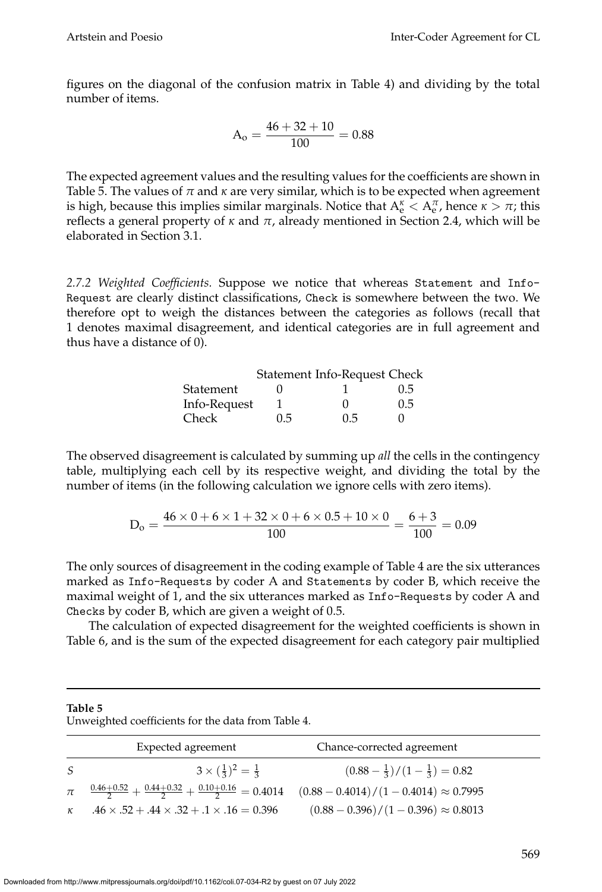figures on the diagonal of the confusion matrix in Table 4) and dividing by the total number of items.

$$
A_o = \frac{46 + 32 + 10}{100} = 0.88
$$

The expected agreement values and the resulting values for the coefficients are shown in Table 5. The values of  $\pi$  and  $\kappa$  are very similar, which is to be expected when agreement is high, because this implies similar marginals. Notice that  $A_e^{\kappa} < A_e^{\pi}$ , hence  $\kappa > \pi$ ; this reflects a general property of *κ* and  $π$ , already mentioned in Section 2.4, which will be elaborated in Section 3.1.

*2.7.2 Weighted Coefficients.* Suppose we notice that whereas Statement and Info-Request are clearly distinct classifications, Check is somewhere between the two. We therefore opt to weigh the distances between the categories as follows (recall that 1 denotes maximal disagreement, and identical categories are in full agreement and thus have a distance of 0).

|              |     | Statement Info-Request Check |     |
|--------------|-----|------------------------------|-----|
| Statement    |     |                              | 0.5 |
| Info-Request |     | $\cup$                       | 0.5 |
| Check        | 0.5 | 0.5                          |     |

The observed disagreement is calculated by summing up *all* the cells in the contingency table, multiplying each cell by its respective weight, and dividing the total by the number of items (in the following calculation we ignore cells with zero items).

$$
D_0 = \frac{46 \times 0 + 6 \times 1 + 32 \times 0 + 6 \times 0.5 + 10 \times 0}{100} = \frac{6 + 3}{100} = 0.09
$$

The only sources of disagreement in the coding example of Table 4 are the six utterances marked as Info-Requests by coder A and Statements by coder B, which receive the maximal weight of 1, and the six utterances marked as Info-Requests by coder A and Checks by coder B, which are given a weight of 0.5.

The calculation of expected disagreement for the weighted coefficients is shown in Table 6, and is the sum of the expected disagreement for each category pair multiplied

## **Table 5**

Unweighted coefficients for the data from Table 4.

| Expected agreement                                                                                                       | Chance-corrected agreement                      |  |
|--------------------------------------------------------------------------------------------------------------------------|-------------------------------------------------|--|
| $3 \times (\frac{1}{3})^2 = \frac{1}{3}$                                                                                 | $(0.88 - \frac{1}{3})/(1 - \frac{1}{3}) = 0.82$ |  |
| $\pi \frac{0.46+0.52}{2} + \frac{0.44+0.32}{2} + \frac{0.10+0.16}{2} = 0.4014$ $(0.88-0.4014)/(1-0.4014) \approx 0.7995$ |                                                 |  |
| $\kappa$ .46 $\times$ .52 + .44 $\times$ .32 + .1 $\times$ .16 = 0.396                                                   | $(0.88 - 0.396)/(1 - 0.396) \approx 0.8013$     |  |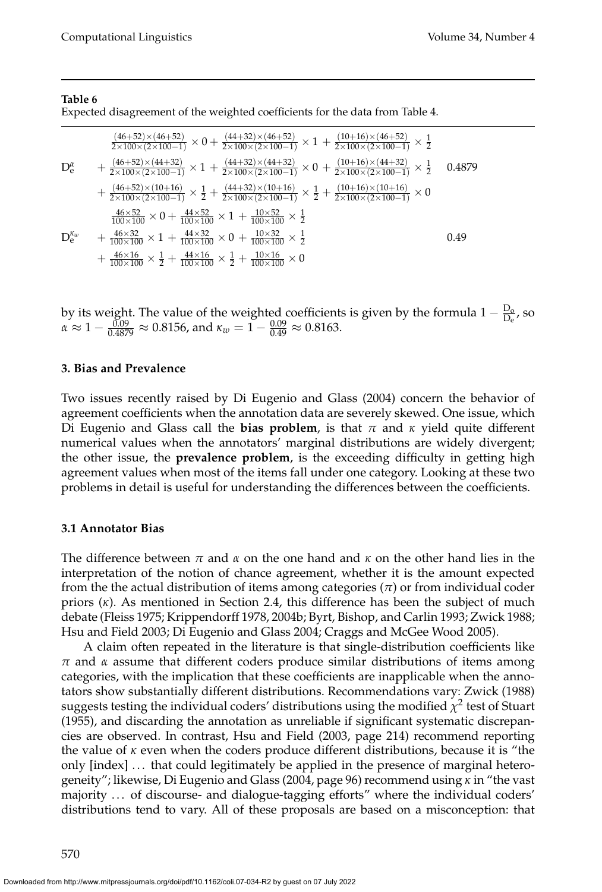#### **Table 6**

Expected disagreement of the weighted coefficients for the data from Table 4.

|                       | $\frac{(46+52)\times(46+52)}{2\times100\times(2\times100-1)}\times 0 + \frac{(44+32)\times(46+52)}{2\times100\times(2\times100-1)}\times 1 + \frac{(10+16)\times(46+52)}{2\times100\times(2\times100-1)}\times \frac{1}{2}$            |      |
|-----------------------|----------------------------------------------------------------------------------------------------------------------------------------------------------------------------------------------------------------------------------------|------|
| $D_{\rho}^{\alpha}$   | $+\frac{(46+52)\times(44+32)}{2\times100\times(2\times100-1)} \times 1 + \frac{(44+32)\times(44+32)}{2\times100\times(2\times100-1)} \times 0 + \frac{(10+16)\times(44+32)}{2\times100\times(2\times100-1)} \times \frac{1}{2}$ 0.4879 |      |
|                       | $+\frac{(46+52)\times(10+16)}{2\times100\times(2\times100-1)} \times \frac{1}{2}+\frac{(44+32)\times(10+16)}{2\times100\times(2\times100-1)} \times \frac{1}{2}+\frac{(10+16)\times(10+16)}{2\times100\times(2\times100-1)} \times 0$  |      |
|                       | $\frac{46\times52}{100\times100}\times0+\frac{44\times52}{100\times100}\times1+\frac{10\times52}{100\times100}\times\frac{1}{2}$                                                                                                       |      |
| $D_\alpha^{\kappa_w}$ | $+\frac{46\times32}{100\times100}\times1+\frac{44\times32}{100\times100}\times0+\frac{10\times32}{100\times100}\times\frac{1}{2}$                                                                                                      | 0.49 |
|                       | $+\frac{46\times16}{100\times100}\times\frac{1}{2}+\frac{44\times16}{100\times100}\times\frac{1}{2}+\frac{10\times16}{100\times100}\times0$                                                                                            |      |

by its weight. The value of the weighted coefficients is given by the formula  $1 - \frac{D_0}{D_e}$ , so  $\alpha \approx 1 - \frac{0.09}{0.4879} \approx 0.8156$ , and  $\kappa_w = 1 - \frac{0.09}{0.49} \approx 0.8163$ .

#### **3. Bias and Prevalence**

Two issues recently raised by Di Eugenio and Glass (2004) concern the behavior of agreement coefficients when the annotation data are severely skewed. One issue, which Di Eugenio and Glass call the **bias problem**, is that *π* and *κ* yield quite different numerical values when the annotators' marginal distributions are widely divergent; the other issue, the **prevalence problem**, is the exceeding difficulty in getting high agreement values when most of the items fall under one category. Looking at these two problems in detail is useful for understanding the differences between the coefficients.

#### **3.1 Annotator Bias**

The difference between *π* and *α* on the one hand and *κ* on the other hand lies in the interpretation of the notion of chance agreement, whether it is the amount expected from the the actual distribution of items among categories (*π*) or from individual coder priors (*κ*). As mentioned in Section 2.4, this difference has been the subject of much debate (Fleiss 1975; Krippendorff 1978, 2004b; Byrt, Bishop, and Carlin 1993; Zwick 1988; Hsu and Field 2003; Di Eugenio and Glass 2004; Craggs and McGee Wood 2005).

A claim often repeated in the literature is that single-distribution coefficients like *π* and *α* assume that different coders produce similar distributions of items among categories, with the implication that these coefficients are inapplicable when the annotators show substantially different distributions. Recommendations vary: Zwick (1988) suggests testing the individual coders' distributions using the modified  $\chi^2$  test of Stuart (1955), and discarding the annotation as unreliable if significant systematic discrepancies are observed. In contrast, Hsu and Field (2003, page 214) recommend reporting the value of *κ* even when the coders produce different distributions, because it is "the only [index] . . . that could legitimately be applied in the presence of marginal heterogeneity"; likewise, Di Eugenio and Glass (2004, page 96) recommend using *κ* in "the vast majority ... of discourse- and dialogue-tagging efforts" where the individual coders' distributions tend to vary. All of these proposals are based on a misconception: that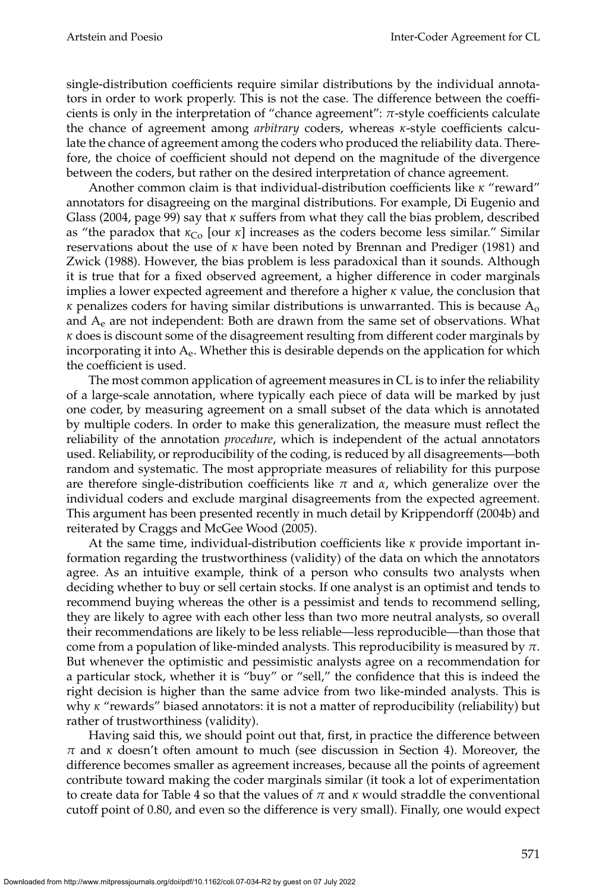single-distribution coefficients require similar distributions by the individual annotators in order to work properly. This is not the case. The difference between the coefficients is only in the interpretation of "chance agreement": *π*-style coefficients calculate the chance of agreement among *arbitrary* coders, whereas *κ*-style coefficients calculate the chance of agreement among the coders who produced the reliability data. Therefore, the choice of coefficient should not depend on the magnitude of the divergence between the coders, but rather on the desired interpretation of chance agreement.

Another common claim is that individual-distribution coefficients like *κ* "reward" annotators for disagreeing on the marginal distributions. For example, Di Eugenio and Glass (2004, page 99) say that *κ* suffers from what they call the bias problem, described as "the paradox that  $\kappa_{\text{Co}}$  [our  $\kappa$ ] increases as the coders become less similar." Similar reservations about the use of *κ* have been noted by Brennan and Prediger (1981) and Zwick (1988). However, the bias problem is less paradoxical than it sounds. Although it is true that for a fixed observed agreement, a higher difference in coder marginals implies a lower expected agreement and therefore a higher *κ* value, the conclusion that *κ* penalizes coders for having similar distributions is unwarranted. This is because  $A_0$ and  $A_e$  are not independent: Both are drawn from the same set of observations. What *κ* does is discount some of the disagreement resulting from different coder marginals by incorporating it into  $A_e$ . Whether this is desirable depends on the application for which the coefficient is used.

The most common application of agreement measures in CL is to infer the reliability of a large-scale annotation, where typically each piece of data will be marked by just one coder, by measuring agreement on a small subset of the data which is annotated by multiple coders. In order to make this generalization, the measure must reflect the reliability of the annotation *procedure*, which is independent of the actual annotators used. Reliability, or reproducibility of the coding, is reduced by all disagreements—both random and systematic. The most appropriate measures of reliability for this purpose are therefore single-distribution coefficients like  $\pi$  and  $\alpha$ , which generalize over the individual coders and exclude marginal disagreements from the expected agreement. This argument has been presented recently in much detail by Krippendorff (2004b) and reiterated by Craggs and McGee Wood (2005).

At the same time, individual-distribution coefficients like *κ* provide important information regarding the trustworthiness (validity) of the data on which the annotators agree. As an intuitive example, think of a person who consults two analysts when deciding whether to buy or sell certain stocks. If one analyst is an optimist and tends to recommend buying whereas the other is a pessimist and tends to recommend selling, they are likely to agree with each other less than two more neutral analysts, so overall their recommendations are likely to be less reliable—less reproducible—than those that come from a population of like-minded analysts. This reproducibility is measured by  $\pi$ . But whenever the optimistic and pessimistic analysts agree on a recommendation for a particular stock, whether it is "buy" or "sell," the confidence that this is indeed the right decision is higher than the same advice from two like-minded analysts. This is why *κ* "rewards" biased annotators: it is not a matter of reproducibility (reliability) but rather of trustworthiness (validity).

Having said this, we should point out that, first, in practice the difference between  $\pi$  and  $\kappa$  doesn't often amount to much (see discussion in Section 4). Moreover, the difference becomes smaller as agreement increases, because all the points of agreement contribute toward making the coder marginals similar (it took a lot of experimentation to create data for Table 4 so that the values of  $\pi$  and  $\kappa$  would straddle the conventional cutoff point of 0.80, and even so the difference is very small). Finally, one would expect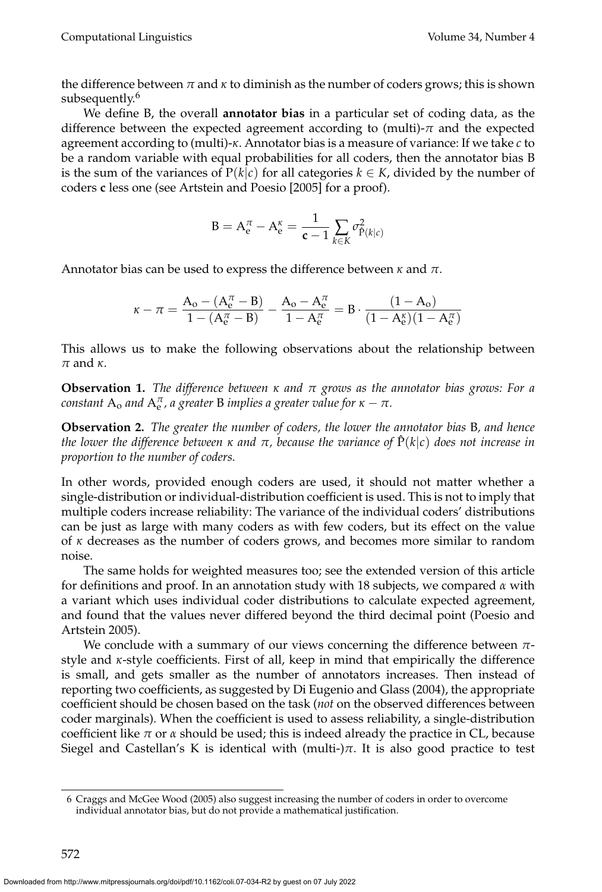the difference between  $\pi$  and  $\kappa$  to diminish as the number of coders grows; this is shown subsequently.<sup>6</sup>

We define B, the overall **annotator bias** in a particular set of coding data, as the difference between the expected agreement according to (multi)-*π* and the expected agreement according to (multi)-*κ*. Annotator bias is a measure of variance: If we take *c* to be a random variable with equal probabilities for all coders, then the annotator bias B is the sum of the variances of  $P(k|c)$  for all categories  $k \in K$ , divided by the number of coders **c** less one (see Artstein and Poesio [2005] for a proof).

$$
\mathbf{B} = \mathbf{A}_{\mathbf{e}}^{\pi} - \mathbf{A}_{\mathbf{e}}^{\kappa} = \frac{1}{\mathbf{c} - 1} \sum_{k \in K} \sigma_{\hat{\mathbf{P}}(k|c)}^2
$$

Annotator bias can be used to express the difference between *κ* and *π*.

$$
\kappa-\pi = \frac{A_o - (A_e^{\pi} - B)}{1-(A_e^{\pi} - B)} - \frac{A_o - A_e^{\pi}}{1-A_e^{\pi}} = B \cdot \frac{(1-A_o)}{(1-A_e^{\pi})(1-A_e^{\pi})}
$$

This allows us to make the following observations about the relationship between *π* and *κ*.

**Observation 1.** *The difference between κ and π grows as the annotator bias grows: For a*  $\alpha$  *constant*  $A_o$  *and*  $A_e^{\pi}$ *, a greater* B *implies a greater value for*  $\kappa - \pi$ *.* 

**Observation 2.** *The greater the number of coders, the lower the annotator bias* B*, and hence the lower the difference between κ and*  $\pi$ , *because the variance of*  $P(k|c)$  *does not increase in proportion to the number of coders.*

In other words, provided enough coders are used, it should not matter whether a single-distribution or individual-distribution coefficient is used. This is not to imply that multiple coders increase reliability: The variance of the individual coders' distributions can be just as large with many coders as with few coders, but its effect on the value of *κ* decreases as the number of coders grows, and becomes more similar to random noise.

The same holds for weighted measures too; see the extended version of this article for definitions and proof. In an annotation study with 18 subjects, we compared *α* with a variant which uses individual coder distributions to calculate expected agreement, and found that the values never differed beyond the third decimal point (Poesio and Artstein 2005).

We conclude with a summary of our views concerning the difference between *π*style and *κ*-style coefficients. First of all, keepin mind that empirically the difference is small, and gets smaller as the number of annotators increases. Then instead of reporting two coefficients, as suggested by Di Eugenio and Glass (2004), the appropriate coefficient should be chosen based on the task (*not* on the observed differences between coder marginals). When the coefficient is used to assess reliability, a single-distribution coefficient like  $\pi$  or  $\alpha$  should be used; this is indeed already the practice in CL, because Siegel and Castellan's K is identical with (multi-) $π$ . It is also good practice to test

<sup>6</sup> Craggs and McGee Wood (2005) also suggest increasing the number of coders in order to overcome individual annotator bias, but do not provide a mathematical justification.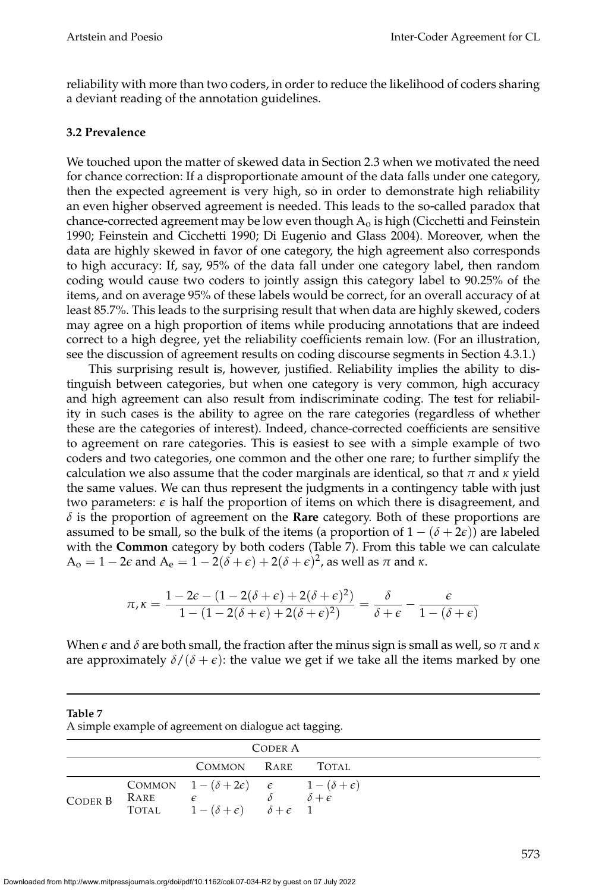reliability with more than two coders, in order to reduce the likelihood of coders sharing a deviant reading of the annotation guidelines.

# **3.2 Prevalence**

We touched upon the matter of skewed data in Section 2.3 when we motivated the need for chance correction: If a disproportionate amount of the data falls under one category, then the expected agreement is very high, so in order to demonstrate high reliability an even higher observed agreement is needed. This leads to the so-called paradox that chance-corrected agreement may be low even though  $A_0$  is high (Cicchetti and Feinstein 1990; Feinstein and Cicchetti 1990; Di Eugenio and Glass 2004). Moreover, when the data are highly skewed in favor of one category, the high agreement also corresponds to high accuracy: If, say, 95% of the data fall under one category label, then random coding would cause two coders to jointly assign this category label to 90.25% of the items, and on average 95% of these labels would be correct, for an overall accuracy of at least 85.7%. This leads to the surprising result that when data are highly skewed, coders may agree on a high proportion of items while producing annotations that are indeed correct to a high degree, yet the reliability coefficients remain low. (For an illustration, see the discussion of agreement results on coding discourse segments in Section 4.3.1.)

This surprising result is, however, justified. Reliability implies the ability to distinguish between categories, but when one category is very common, high accuracy and high agreement can also result from indiscriminate coding. The test for reliability in such cases is the ability to agree on the rare categories (regardless of whether these are the categories of interest). Indeed, chance-corrected coefficients are sensitive to agreement on rare categories. This is easiest to see with a simple example of two coders and two categories, one common and the other one rare; to further simplify the calculation we also assume that the coder marginals are identical, so that  $\pi$  and  $\kappa$  yield the same values. We can thus represent the judgments in a contingency table with just two parameters:  $\epsilon$  is half the proportion of items on which there is disagreement, and *δ* is the proportion of agreement on the **Rare** category. Both of these proportions are assumed to be small, so the bulk of the items (a proportion of  $1 - (\delta + 2\epsilon)$ ) are labeled with the **Common** category by both coders (Table 7). From this table we can calculate  $A_0 = 1 - 2\epsilon$  and  $A_e = 1 - 2(\delta + \epsilon) + 2(\delta + \epsilon)^2$ , as well as  $\pi$  and  $\kappa$ .

$$
\pi, \kappa = \frac{1 - 2\epsilon - (1 - 2(\delta + \epsilon) + 2(\delta + \epsilon)^2)}{1 - (1 - 2(\delta + \epsilon) + 2(\delta + \epsilon)^2)} = \frac{\delta}{\delta + \epsilon} - \frac{\epsilon}{1 - (\delta + \epsilon)}
$$

When  $\epsilon$  and  $\delta$  are both small, the fraction after the minus sign is small as well, so  $\pi$  and  $\kappa$ are approximately  $\delta/(\delta + \epsilon)$ : the value we get if we take all the items marked by one

## **Table 7**

A simple example of agreement on dialogue act tagging.

|                |      |                                                                | CODER A |                     |  |
|----------------|------|----------------------------------------------------------------|---------|---------------------|--|
|                |      | COMMON RARE                                                    |         | TOTAL               |  |
|                |      | COMMON $1-(\delta+2\epsilon)$ $\epsilon$ $1-(\delta+\epsilon)$ |         |                     |  |
| <b>CODER B</b> | RARE | $\epsilon$                                                     |         | $\delta + \epsilon$ |  |
|                |      | TOTAL $1-(\delta+\epsilon)$ $\delta+\epsilon$                  |         |                     |  |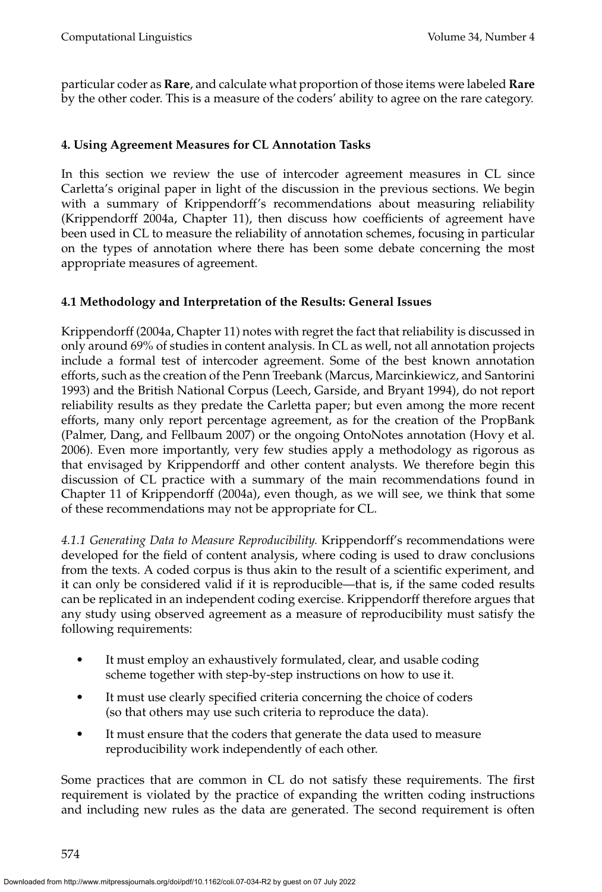particular coder as **Rare**, and calculate what proportion of those items were labeled **Rare** by the other coder. This is a measure of the coders' ability to agree on the rare category.

# **4. Using Agreement Measures for CL Annotation Tasks**

In this section we review the use of intercoder agreement measures in CL since Carletta's original paper in light of the discussion in the previous sections. We begin with a summary of Krippendorff's recommendations about measuring reliability (Krippendorff 2004a, Chapter 11), then discuss how coefficients of agreement have been used in CL to measure the reliability of annotation schemes, focusing in particular on the types of annotation where there has been some debate concerning the most appropriate measures of agreement.

# **4.1 Methodology and Interpretation of the Results: General Issues**

Krippendorff (2004a, Chapter 11) notes with regret the fact that reliability is discussed in only around 69% of studies in content analysis. In CL as well, not all annotation projects include a formal test of intercoder agreement. Some of the best known annotation efforts, such as the creation of the Penn Treebank (Marcus, Marcinkiewicz, and Santorini 1993) and the British National Corpus (Leech, Garside, and Bryant 1994), do not report reliability results as they predate the Carletta paper; but even among the more recent efforts, many only report percentage agreement, as for the creation of the PropBank (Palmer, Dang, and Fellbaum 2007) or the ongoing OntoNotes annotation (Hovy et al. 2006). Even more importantly, very few studies apply a methodology as rigorous as that envisaged by Krippendorff and other content analysts. We therefore begin this discussion of CL practice with a summary of the main recommendations found in Chapter 11 of Krippendorff (2004a), even though, as we will see, we think that some of these recommendations may not be appropriate for CL.

*4.1.1 Generating Data to Measure Reproducibility.* Krippendorff's recommendations were developed for the field of content analysis, where coding is used to draw conclusions from the texts. A coded corpus is thus akin to the result of a scientific experiment, and it can only be considered valid if it is reproducible—that is, if the same coded results can be replicated in an independent coding exercise. Krippendorff therefore argues that any study using observed agreement as a measure of reproducibility must satisfy the following requirements:

- It must employ an exhaustively formulated, clear, and usable coding scheme together with step-by-step instructions on how to use it.
- It must use clearly specified criteria concerning the choice of coders (so that others may use such criteria to reproduce the data).
- It must ensure that the coders that generate the data used to measure reproducibility work independently of each other.

Some practices that are common in CL do not satisfy these requirements. The first requirement is violated by the practice of expanding the written coding instructions and including new rules as the data are generated. The second requirement is often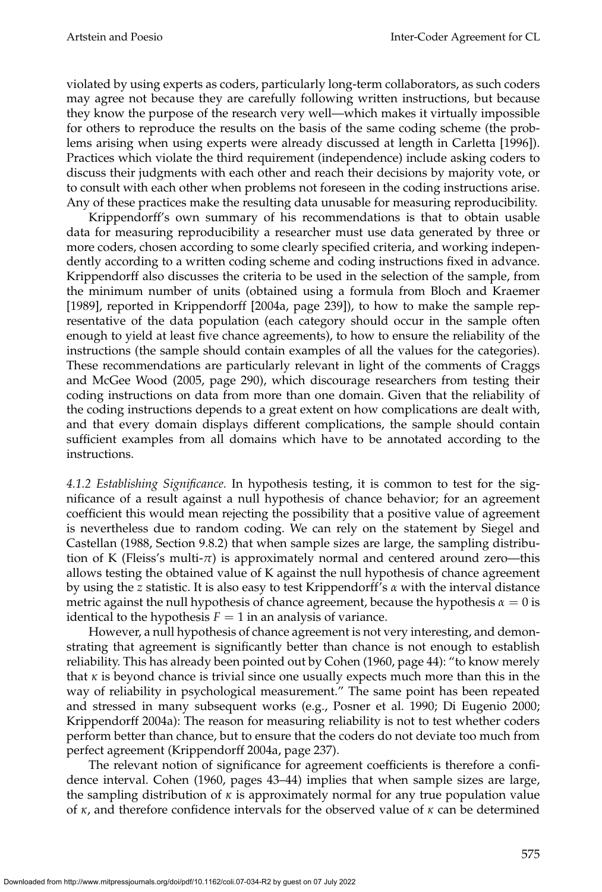violated by using experts as coders, particularly long-term collaborators, as such coders may agree not because they are carefully following written instructions, but because they know the purpose of the research very well—which makes it virtually impossible for others to reproduce the results on the basis of the same coding scheme (the problems arising when using experts were already discussed at length in Carletta [1996]). Practices which violate the third requirement (independence) include asking coders to discuss their judgments with each other and reach their decisions by majority vote, or to consult with each other when problems not foreseen in the coding instructions arise. Any of these practices make the resulting data unusable for measuring reproducibility.

Krippendorff's own summary of his recommendations is that to obtain usable data for measuring reproducibility a researcher must use data generated by three or more coders, chosen according to some clearly specified criteria, and working independently according to a written coding scheme and coding instructions fixed in advance. Krippendorff also discusses the criteria to be used in the selection of the sample, from the minimum number of units (obtained using a formula from Bloch and Kraemer [1989], reported in Krippendorff [2004a, page 239]), to how to make the sample representative of the data population (each category should occur in the sample often enough to yield at least five chance agreements), to how to ensure the reliability of the instructions (the sample should contain examples of all the values for the categories). These recommendations are particularly relevant in light of the comments of Craggs and McGee Wood (2005, page 290), which discourage researchers from testing their coding instructions on data from more than one domain. Given that the reliability of the coding instructions depends to a great extent on how complications are dealt with, and that every domain displays different complications, the sample should contain sufficient examples from all domains which have to be annotated according to the instructions.

*4.1.2 Establishing Significance.* In hypothesis testing, it is common to test for the significance of a result against a null hypothesis of chance behavior; for an agreement coefficient this would mean rejecting the possibility that a positive value of agreement is nevertheless due to random coding. We can rely on the statement by Siegel and Castellan (1988, Section 9.8.2) that when sample sizes are large, the sampling distribution of K (Fleiss's multi-*π*) is approximately normal and centered around zero—this allows testing the obtained value of K against the null hypothesis of chance agreement by using the *z* statistic. It is also easy to test Krippendorff's *α* with the interval distance metric against the null hypothesis of chance agreement, because the hypothesis  $\alpha = 0$  is identical to the hypothesis  $F = 1$  in an analysis of variance.

However, a null hypothesis of chance agreement is not very interesting, and demonstrating that agreement is significantly better than chance is not enough to establish reliability. This has already been pointed out by Cohen (1960, page 44): "to know merely that  $\kappa$  is beyond chance is trivial since one usually expects much more than this in the way of reliability in psychological measurement." The same point has been repeated and stressed in many subsequent works (e.g., Posner et al. 1990; Di Eugenio 2000; Krippendorff 2004a): The reason for measuring reliability is not to test whether coders perform better than chance, but to ensure that the coders do not deviate too much from perfect agreement (Krippendorff 2004a, page 237).

The relevant notion of significance for agreement coefficients is therefore a confidence interval. Cohen (1960, pages 43–44) implies that when sample sizes are large, the sampling distribution of  $\kappa$  is approximately normal for any true population value of *κ*, and therefore confidence intervals for the observed value of *κ* can be determined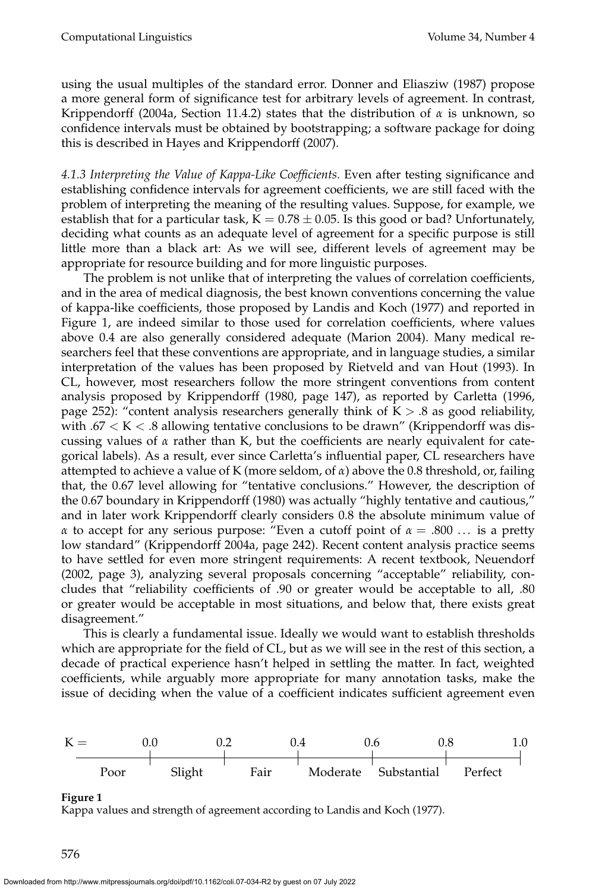using the usual multiples of the standard error. Donner and Eliasziw (1987) propose a more general form of significance test for arbitrary levels of agreement. In contrast, Krippendorff (2004a, Section 11.4.2) states that the distribution of *α* is unknown, so confidence intervals must be obtained by bootstrapping; a software package for doing this is described in Hayes and Krippendorff (2007).

*4.1.3 Interpreting the Value of Kappa-Like Coefficients.* Even after testing significance and establishing confidence intervals for agreement coefficients, we are still faced with the problem of interpreting the meaning of the resulting values. Suppose, for example, we establish that for a particular task,  $K = 0.78 \pm 0.05$ . Is this good or bad? Unfortunately, deciding what counts as an adequate level of agreement for a specific purpose is still little more than a black art: As we will see, different levels of agreement may be appropriate for resource building and for more linguistic purposes.

The problem is not unlike that of interpreting the values of correlation coefficients, and in the area of medical diagnosis, the best known conventions concerning the value of kappa-like coefficients, those proposed by Landis and Koch (1977) and reported in Figure 1, are indeed similar to those used for correlation coefficients, where values above 0.4 are also generally considered adequate (Marion 2004). Many medical researchers feel that these conventions are appropriate, and in language studies, a similar interpretation of the values has been proposed by Rietveld and van Hout (1993). In CL, however, most researchers follow the more stringent conventions from content analysis proposed by Krippendorff (1980, page 147), as reported by Carletta (1996, page 252): "content analysis researchers generally think of  $K > 0.8$  as good reliability, with  $.67 < K < .8$  allowing tentative conclusions to be drawn" (Krippendorff was discussing values of  $\alpha$  rather than K, but the coefficients are nearly equivalent for categorical labels). As a result, ever since Carletta's influential paper, CL researchers have attempted to achieve a value of K (more seldom, of *α*) above the 0.8 threshold, or, failing that, the 0.67 level allowing for "tentative conclusions." However, the description of the 0.67 boundary in Krippendorff (1980) was actually "highly tentative and cautious," and in later work Krippendorff clearly considers 0.8 the absolute minimum value of *α* to accept for any serious purpose: "Even a cutoff point of  $\alpha = .800$  ... is a pretty low standard" (Krippendorff 2004a, page 242). Recent content analysis practice seems to have settled for even more stringent requirements: A recent textbook, Neuendorf (2002, page 3), analyzing several proposals concerning "acceptable" reliability, concludes that "reliability coefficients of .90 or greater would be acceptable to all, .80 or greater would be acceptable in most situations, and below that, there exists great disagreement."

This is clearly a fundamental issue. Ideally we would want to establish thresholds which are appropriate for the field of CL, but as we will see in the rest of this section, a decade of practical experience hasn't helped in settling the matter. In fact, weighted coefficients, while arguably more appropriate for many annotation tasks, make the issue of deciding when the value of a coefficient indicates sufficient agreement even



**Figure 1**

Kappa values and strength of agreement according to Landis and Koch (1977).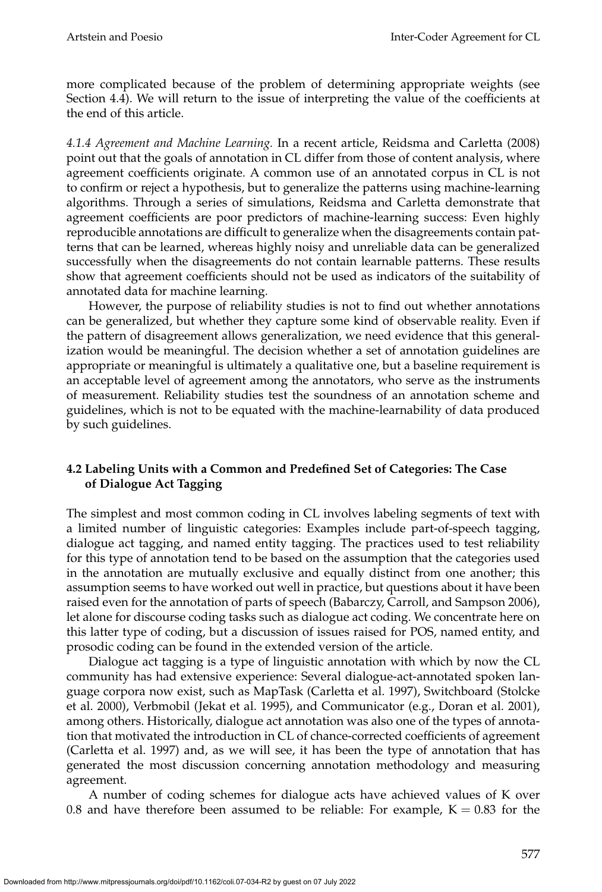more complicated because of the problem of determining appropriate weights (see Section 4.4). We will return to the issue of interpreting the value of the coefficients at the end of this article.

*4.1.4 Agreement and Machine Learning.* In a recent article, Reidsma and Carletta (2008) point out that the goals of annotation in CL differ from those of content analysis, where agreement coefficients originate. A common use of an annotated corpus in CL is not to confirm or reject a hypothesis, but to generalize the patterns using machine-learning algorithms. Through a series of simulations, Reidsma and Carletta demonstrate that agreement coefficients are poor predictors of machine-learning success: Even highly reproducible annotations are difficult to generalize when the disagreements contain patterns that can be learned, whereas highly noisy and unreliable data can be generalized successfully when the disagreements do not contain learnable patterns. These results show that agreement coefficients should not be used as indicators of the suitability of annotated data for machine learning.

However, the purpose of reliability studies is not to find out whether annotations can be generalized, but whether they capture some kind of observable reality. Even if the pattern of disagreement allows generalization, we need evidence that this generalization would be meaningful. The decision whether a set of annotation guidelines are appropriate or meaningful is ultimately a qualitative one, but a baseline requirement is an acceptable level of agreement among the annotators, who serve as the instruments of measurement. Reliability studies test the soundness of an annotation scheme and guidelines, which is not to be equated with the machine-learnability of data produced by such guidelines.

# **4.2 Labeling Units with a Common and Predefined Set of Categories: The Case of Dialogue Act Tagging**

The simplest and most common coding in CL involves labeling segments of text with a limited number of linguistic categories: Examples include part-of-speech tagging, dialogue act tagging, and named entity tagging. The practices used to test reliability for this type of annotation tend to be based on the assumption that the categories used in the annotation are mutually exclusive and equally distinct from one another; this assumption seems to have worked out well in practice, but questions about it have been raised even for the annotation of parts of speech (Babarczy, Carroll, and Sampson 2006), let alone for discourse coding tasks such as dialogue act coding. We concentrate here on this latter type of coding, but a discussion of issues raised for POS, named entity, and prosodic coding can be found in the extended version of the article.

Dialogue act tagging is a type of linguistic annotation with which by now the CL community has had extensive experience: Several dialogue-act-annotated spoken language corpora now exist, such as MapTask (Carletta et al. 1997), Switchboard (Stolcke et al. 2000), Verbmobil (Jekat et al. 1995), and Communicator (e.g., Doran et al. 2001), among others. Historically, dialogue act annotation was also one of the types of annotation that motivated the introduction in CL of chance-corrected coefficients of agreement (Carletta et al. 1997) and, as we will see, it has been the type of annotation that has generated the most discussion concerning annotation methodology and measuring agreement.

A number of coding schemes for dialogue acts have achieved values of K over 0.8 and have therefore been assumed to be reliable: For example,  $K = 0.83$  for the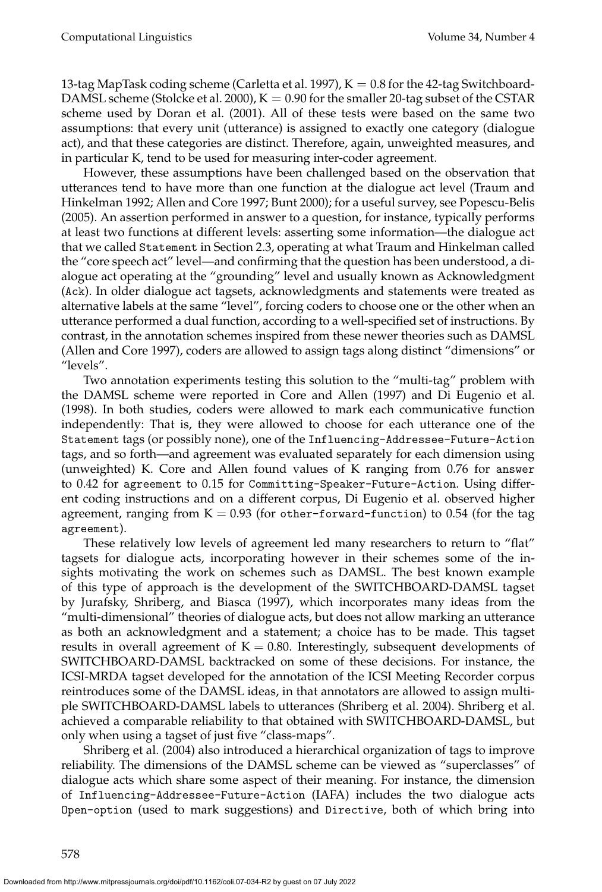13-tag MapTask coding scheme (Carletta et al. 1997),  $K = 0.8$  for the 42-tag Switchboard-DAMSL scheme (Stolcke et al. 2000),  $K = 0.90$  for the smaller 20-tag subset of the CSTAR scheme used by Doran et al. (2001). All of these tests were based on the same two assumptions: that every unit (utterance) is assigned to exactly one category (dialogue act), and that these categories are distinct. Therefore, again, unweighted measures, and in particular K, tend to be used for measuring inter-coder agreement.

However, these assumptions have been challenged based on the observation that utterances tend to have more than one function at the dialogue act level (Traum and Hinkelman 1992; Allen and Core 1997; Bunt 2000); for a useful survey, see Popescu-Belis (2005). An assertion performed in answer to a question, for instance, typically performs at least two functions at different levels: asserting some information—the dialogue act that we called Statement in Section 2.3, operating at what Traum and Hinkelman called the "core speech act" level—and confirming that the question has been understood, a dialogue act operating at the "grounding" level and usually known as Acknowledgment (Ack). In older dialogue act tagsets, acknowledgments and statements were treated as alternative labels at the same "level", forcing coders to choose one or the other when an utterance performed a dual function, according to a well-specified set of instructions. By contrast, in the annotation schemes inspired from these newer theories such as DAMSL (Allen and Core 1997), coders are allowed to assign tags along distinct "dimensions" or "levels".

Two annotation experiments testing this solution to the "multi-tag" problem with the DAMSL scheme were reported in Core and Allen (1997) and Di Eugenio et al. (1998). In both studies, coders were allowed to mark each communicative function independently: That is, they were allowed to choose for each utterance one of the Statement tags (or possibly none), one of the Influencing-Addressee-Future-Action tags, and so forth—and agreement was evaluated separately for each dimension using (unweighted) K. Core and Allen found values of K ranging from 0.76 for answer to 0.42 for agreement to 0.15 for Committing-Speaker-Future-Action. Using different coding instructions and on a different corpus, Di Eugenio et al. observed higher agreement, ranging from  $K = 0.93$  (for other-forward-function) to 0.54 (for the tag agreement).

These relatively low levels of agreement led many researchers to return to "flat" tagsets for dialogue acts, incorporating however in their schemes some of the insights motivating the work on schemes such as DAMSL. The best known example of this type of approach is the development of the SWITCHBOARD-DAMSL tagset by Jurafsky, Shriberg, and Biasca (1997), which incorporates many ideas from the "multi-dimensional" theories of dialogue acts, but does not allow marking an utterance as both an acknowledgment and a statement; a choice has to be made. This tagset results in overall agreement of  $K = 0.80$ . Interestingly, subsequent developments of SWITCHBOARD-DAMSL backtracked on some of these decisions. For instance, the ICSI-MRDA tagset developed for the annotation of the ICSI Meeting Recorder corpus reintroduces some of the DAMSL ideas, in that annotators are allowed to assign multiple SWITCHBOARD-DAMSL labels to utterances (Shriberg et al. 2004). Shriberg et al. achieved a comparable reliability to that obtained with SWITCHBOARD-DAMSL, but only when using a tagset of just five "class-maps".

Shriberg et al. (2004) also introduced a hierarchical organization of tags to improve reliability. The dimensions of the DAMSL scheme can be viewed as "superclasses" of dialogue acts which share some aspect of their meaning. For instance, the dimension of Influencing-Addressee-Future-Action (IAFA) includes the two dialogue acts Open-option (used to mark suggestions) and Directive, both of which bring into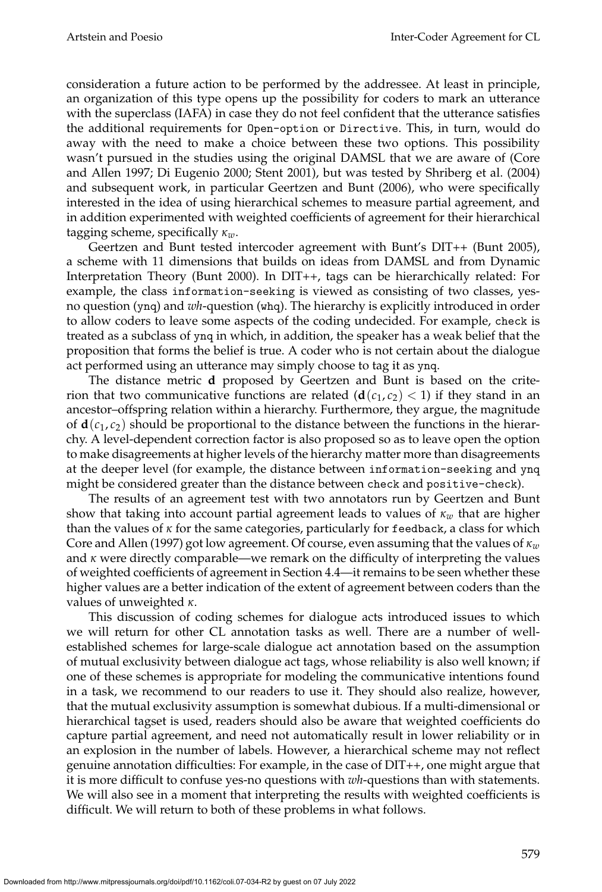consideration a future action to be performed by the addressee. At least in principle, an organization of this type opens up the possibility for coders to mark an utterance with the superclass (IAFA) in case they do not feel confident that the utterance satisfies the additional requirements for Open-option or Directive. This, in turn, would do away with the need to make a choice between these two options. This possibility wasn't pursued in the studies using the original DAMSL that we are aware of (Core and Allen 1997; Di Eugenio 2000; Stent 2001), but was tested by Shriberg et al. (2004) and subsequent work, in particular Geertzen and Bunt (2006), who were specifically interested in the idea of using hierarchical schemes to measure partial agreement, and in addition experimented with weighted coefficients of agreement for their hierarchical tagging scheme, specifically *κw*.

Geertzen and Bunt tested intercoder agreement with Bunt's DIT++ (Bunt 2005), a scheme with 11 dimensions that builds on ideas from DAMSL and from Dynamic Interpretation Theory (Bunt 2000). In DIT++, tags can be hierarchically related: For example, the class information-seeking is viewed as consisting of two classes, yesno question (ynq) and *wh*-question (whq). The hierarchy is explicitly introduced in order to allow coders to leave some aspects of the coding undecided. For example, check is treated as a subclass of ynq in which, in addition, the speaker has a weak belief that the proposition that forms the belief is true. A coder who is not certain about the dialogue act performed using an utterance may simply choose to tag it as ynq.

The distance metric **d** proposed by Geertzen and Bunt is based on the criterion that two communicative functions are related  $(d(c_1, c_2) < 1)$  if they stand in an ancestor–offspring relation within a hierarchy. Furthermore, they argue, the magnitude of  $\mathbf{d}(c_1, c_2)$  should be proportional to the distance between the functions in the hierarchy. A level-dependent correction factor is also proposed so as to leave open the option to make disagreements at higher levels of the hierarchy matter more than disagreements at the deeper level (for example, the distance between information-seeking and ynq might be considered greater than the distance between check and positive-check).

The results of an agreement test with two annotators run by Geertzen and Bunt show that taking into account partial agreement leads to values of *κw* that are higher than the values of *κ* for the same categories, particularly for feedback, a class for which Core and Allen (1997) got low agreement. Of course, even assuming that the values of *κw* and  $\kappa$  were directly comparable—we remark on the difficulty of interpreting the values of weighted coefficients of agreement in Section 4.4—it remains to be seen whether these higher values are a better indication of the extent of agreement between coders than the values of unweighted *κ*.

This discussion of coding schemes for dialogue acts introduced issues to which we will return for other CL annotation tasks as well. There are a number of wellestablished schemes for large-scale dialogue act annotation based on the assumption of mutual exclusivity between dialogue act tags, whose reliability is also well known; if one of these schemes is appropriate for modeling the communicative intentions found in a task, we recommend to our readers to use it. They should also realize, however, that the mutual exclusivity assumption is somewhat dubious. If a multi-dimensional or hierarchical tagset is used, readers should also be aware that weighted coefficients do capture partial agreement, and need not automatically result in lower reliability or in an explosion in the number of labels. However, a hierarchical scheme may not reflect genuine annotation difficulties: For example, in the case of DIT++, one might argue that it is more difficult to confuse yes-no questions with *wh*-questions than with statements. We will also see in a moment that interpreting the results with weighted coefficients is difficult. We will return to both of these problems in what follows.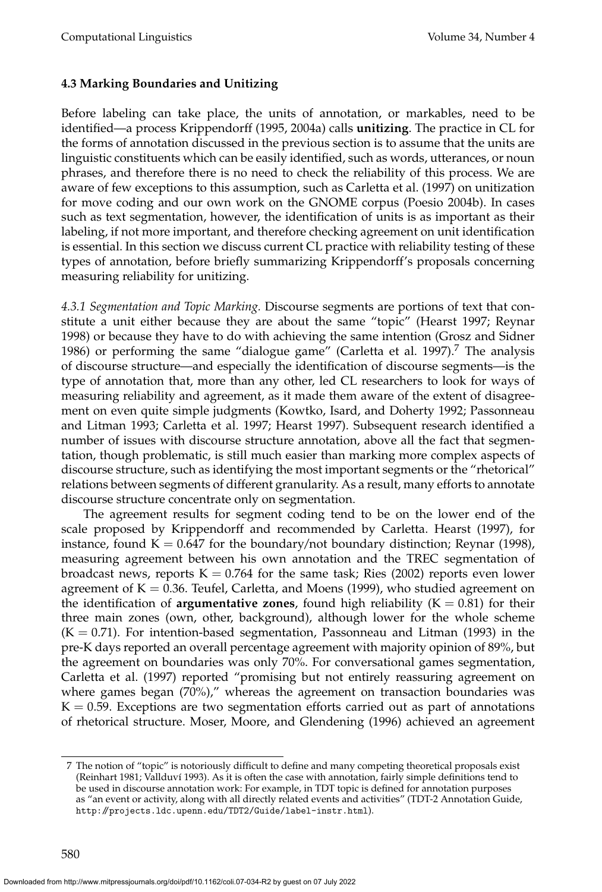## **4.3 Marking Boundaries and Unitizing**

Before labeling can take place, the units of annotation, or markables, need to be identified—a process Krippendorff (1995, 2004a) calls **unitizing**. The practice in CL for the forms of annotation discussed in the previous section is to assume that the units are linguistic constituents which can be easily identified, such as words, utterances, or noun phrases, and therefore there is no need to check the reliability of this process. We are aware of few exceptions to this assumption, such as Carletta et al. (1997) on unitization for move coding and our own work on the GNOME corpus (Poesio 2004b). In cases such as text segmentation, however, the identification of units is as important as their labeling, if not more important, and therefore checking agreement on unit identification is essential. In this section we discuss current CL practice with reliability testing of these types of annotation, before briefly summarizing Krippendorff's proposals concerning measuring reliability for unitizing.

*4.3.1 Segmentation and Topic Marking.* Discourse segments are portions of text that constitute a unit either because they are about the same "topic" (Hearst 1997; Reynar 1998) or because they have to do with achieving the same intention (Grosz and Sidner 1986) or performing the same "dialogue game" (Carletta et al. 1997).<sup>7</sup> The analysis of discourse structure—and especially the identification of discourse segments—is the type of annotation that, more than any other, led CL researchers to look for ways of measuring reliability and agreement, as it made them aware of the extent of disagreement on even quite simple judgments (Kowtko, Isard, and Doherty 1992; Passonneau and Litman 1993; Carletta et al. 1997; Hearst 1997). Subsequent research identified a number of issues with discourse structure annotation, above all the fact that segmentation, though problematic, is still much easier than marking more complex aspects of discourse structure, such as identifying the most important segments or the "rhetorical" relations between segments of different granularity. As a result, many efforts to annotate discourse structure concentrate only on segmentation.

The agreement results for segment coding tend to be on the lower end of the scale proposed by Krippendorff and recommended by Carletta. Hearst (1997), for instance, found  $K = 0.647$  for the boundary/not boundary distinction; Reynar (1998), measuring agreement between his own annotation and the TREC segmentation of broadcast news, reports  $K = 0.764$  for the same task; Ries (2002) reports even lower agreement of  $K = 0.36$ . Teufel, Carletta, and Moens (1999), who studied agreement on the identification of **argumentative zones**, found high reliability ( $K = 0.81$ ) for their three main zones (own, other, background), although lower for the whole scheme  $(K = 0.71)$ . For intention-based segmentation, Passonneau and Litman (1993) in the pre-K days reported an overall percentage agreement with majority opinion of 89%, but the agreement on boundaries was only 70%. For conversational games segmentation, Carletta et al. (1997) reported "promising but not entirely reassuring agreement on where games began (70%)," whereas the agreement on transaction boundaries was  $K = 0.59$ . Exceptions are two segmentation efforts carried out as part of annotations of rhetorical structure. Moser, Moore, and Glendening (1996) achieved an agreement

<sup>7</sup> The notion of "topic" is notoriously difficult to define and many competing theoretical proposals exist (Reinhart 1981; Vallduví 1993). As it is often the case with annotation, fairly simple definitions tend to be used in discourse annotation work: For example, in TDT topic is defined for annotation purposes as "an event or activity, along with all directly related events and activities" (TDT-2 Annotation Guide, http://projects.ldc.upenn.edu/TDT2/Guide/label-instr.html).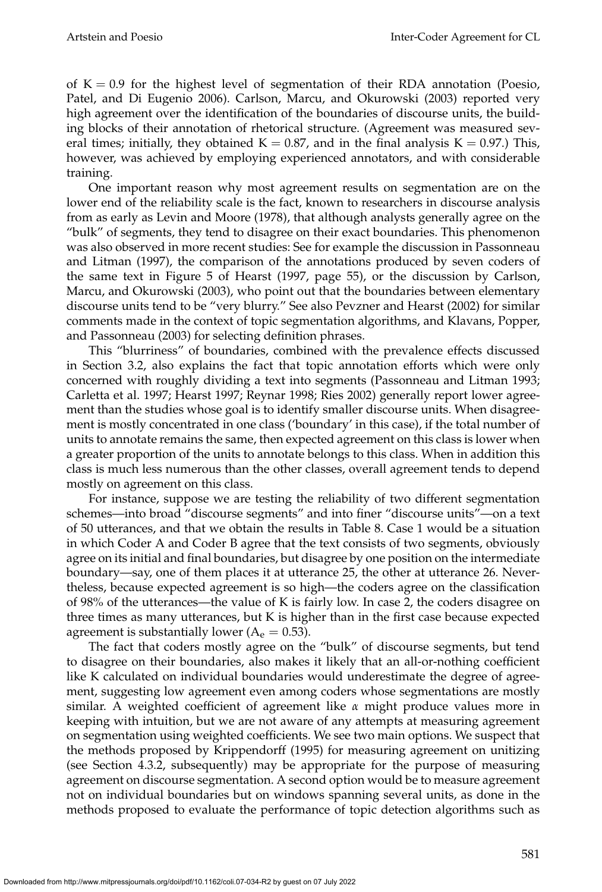of  $K = 0.9$  for the highest level of segmentation of their RDA annotation (Poesio, Patel, and Di Eugenio 2006). Carlson, Marcu, and Okurowski (2003) reported very high agreement over the identification of the boundaries of discourse units, the building blocks of their annotation of rhetorical structure. (Agreement was measured several times; initially, they obtained  $K = 0.87$ , and in the final analysis  $K = 0.97$ .) This, however, was achieved by employing experienced annotators, and with considerable training.

One important reason why most agreement results on segmentation are on the lower end of the reliability scale is the fact, known to researchers in discourse analysis from as early as Levin and Moore (1978), that although analysts generally agree on the "bulk" of segments, they tend to disagree on their exact boundaries. This phenomenon was also observed in more recent studies: See for example the discussion in Passonneau and Litman (1997), the comparison of the annotations produced by seven coders of the same text in Figure 5 of Hearst (1997, page 55), or the discussion by Carlson, Marcu, and Okurowski (2003), who point out that the boundaries between elementary discourse units tend to be "very blurry." See also Pevzner and Hearst (2002) for similar comments made in the context of topic segmentation algorithms, and Klavans, Popper, and Passonneau (2003) for selecting definition phrases.

This "blurriness" of boundaries, combined with the prevalence effects discussed in Section 3.2, also explains the fact that topic annotation efforts which were only concerned with roughly dividing a text into segments (Passonneau and Litman 1993; Carletta et al. 1997; Hearst 1997; Reynar 1998; Ries 2002) generally report lower agreement than the studies whose goal is to identify smaller discourse units. When disagreement is mostly concentrated in one class ('boundary' in this case), if the total number of units to annotate remains the same, then expected agreement on this class is lower when a greater proportion of the units to annotate belongs to this class. When in addition this class is much less numerous than the other classes, overall agreement tends to depend mostly on agreement on this class.

For instance, suppose we are testing the reliability of two different segmentation schemes—into broad "discourse segments" and into finer "discourse units"—on a text of 50 utterances, and that we obtain the results in Table 8. Case 1 would be a situation in which Coder A and Coder B agree that the text consists of two segments, obviously agree on its initial and final boundaries, but disagree by one position on the intermediate boundary—say, one of them places it at utterance 25, the other at utterance 26. Nevertheless, because expected agreement is so high—the coders agree on the classification of 98% of the utterances—the value of K is fairly low. In case 2, the coders disagree on three times as many utterances, but K is higher than in the first case because expected agreement is substantially lower ( $A_e = 0.53$ ).

The fact that coders mostly agree on the "bulk" of discourse segments, but tend to disagree on their boundaries, also makes it likely that an all-or-nothing coefficient like K calculated on individual boundaries would underestimate the degree of agreement, suggesting low agreement even among coders whose segmentations are mostly similar. A weighted coefficient of agreement like *α* might produce values more in keeping with intuition, but we are not aware of any attempts at measuring agreement on segmentation using weighted coefficients. We see two main options. We suspect that the methods proposed by Krippendorff (1995) for measuring agreement on unitizing (see Section 4.3.2, subsequently) may be appropriate for the purpose of measuring agreement on discourse segmentation. A second option would be to measure agreement not on individual boundaries but on windows spanning several units, as done in the methods proposed to evaluate the performance of topic detection algorithms such as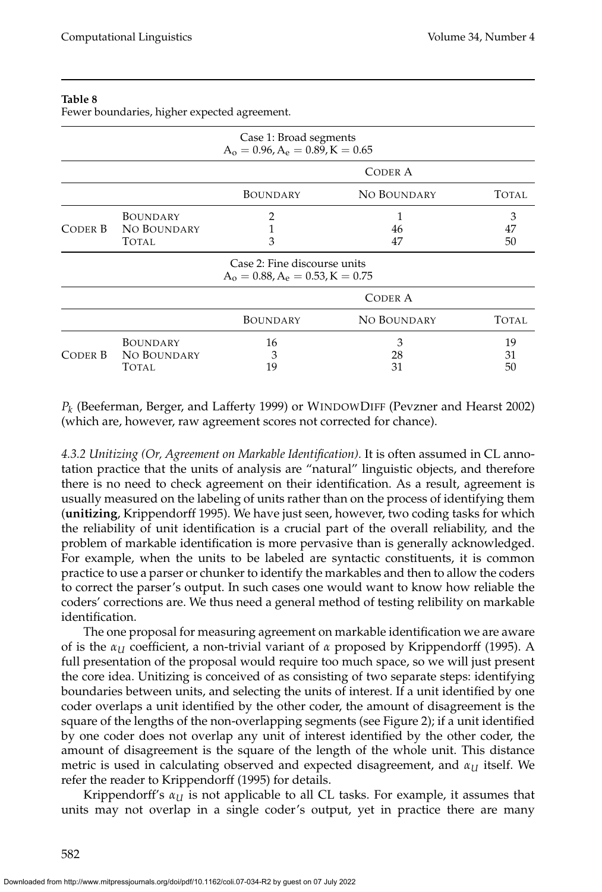#### **Table 8**

Fewer boundaries, higher expected agreement.

|                    |                                                | Case 1: Broad segments<br>$A_0 = 0.96$ , $A_e = 0.89$ , $K = 0.65$       |                |                |
|--------------------|------------------------------------------------|--------------------------------------------------------------------------|----------------|----------------|
|                    |                                                |                                                                          | <b>CODER A</b> |                |
|                    |                                                | <b>BOUNDARY</b>                                                          | NO BOUNDARY    | <b>TOTAL</b>   |
| CODER B            | <b>BOUNDARY</b><br>NO BOUNDARY<br><b>TOTAL</b> | 2<br>3                                                                   | 46<br>47       | 3<br>47<br>50  |
|                    |                                                | Case 2: Fine discourse units<br>$A_0 = 0.88$ , $A_e = 0.53$ , $K = 0.75$ |                |                |
|                    |                                                |                                                                          | <b>CODER A</b> |                |
|                    |                                                | <b>BOUNDARY</b>                                                          | NO BOUNDARY    | <b>TOTAL</b>   |
| CODER <sub>B</sub> | <b>BOUNDARY</b><br>NO BOUNDARY<br>TOTAL        | 16<br>3<br>19                                                            | 3<br>28<br>31  | 19<br>31<br>50 |

*Pk* (Beeferman, Berger, and Lafferty 1999) or WINDOWDIFF (Pevzner and Hearst 2002) (which are, however, raw agreement scores not corrected for chance).

*4.3.2 Unitizing (Or, Agreement on Markable Identification).* It is often assumed in CL annotation practice that the units of analysis are "natural" linguistic objects, and therefore there is no need to check agreement on their identification. As a result, agreement is usually measured on the labeling of units rather than on the process of identifying them (**unitizing**, Krippendorff 1995). We have just seen, however, two coding tasks for which the reliability of unit identification is a crucial part of the overall reliability, and the problem of markable identification is more pervasive than is generally acknowledged. For example, when the units to be labeled are syntactic constituents, it is common practice to use a parser or chunker to identify the markables and then to allow the coders to correct the parser's output. In such cases one would want to know how reliable the coders' corrections are. We thus need a general method of testing relibility on markable identification.

The one proposal for measuring agreement on markable identification we are aware of is the *α<sup>U</sup>* coefficient, a non-trivial variant of *α* proposed by Krippendorff (1995). A full presentation of the proposal would require too much space, so we will just present the core idea. Unitizing is conceived of as consisting of two separate steps: identifying boundaries between units, and selecting the units of interest. If a unit identified by one coder overlaps a unit identified by the other coder, the amount of disagreement is the square of the lengths of the non-overlapping segments (see Figure 2); if a unit identified by one coder does not overlapany unit of interest identified by the other coder, the amount of disagreement is the square of the length of the whole unit. This distance metric is used in calculating observed and expected disagreement, and  $\alpha_{U}$  itself. We refer the reader to Krippendorff (1995) for details.

Krippendorff's  $\alpha_U$  is not applicable to all CL tasks. For example, it assumes that units may not overlap in a single coder's output, yet in practice there are many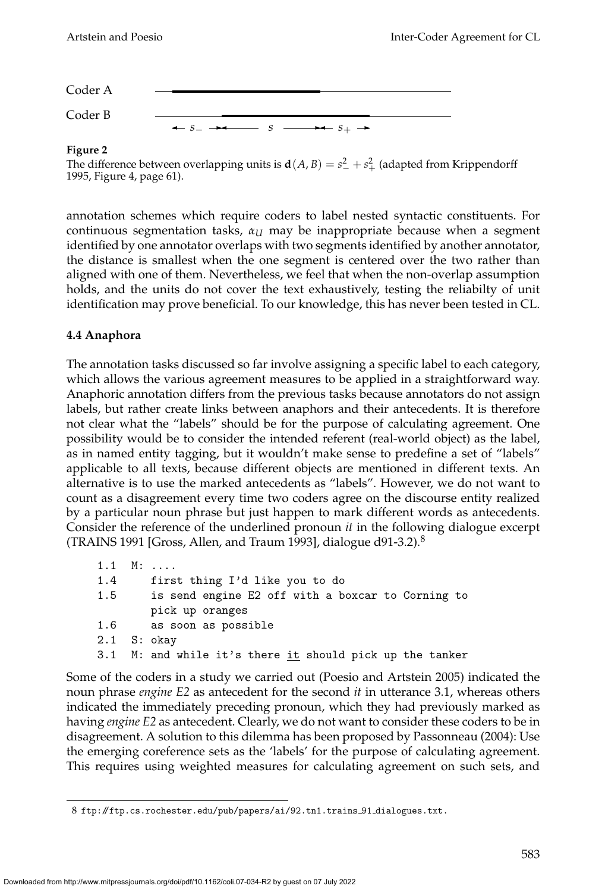

## **Figure 2**

The difference between overlapping units is  $\mathbf{d}(A, B) = s_-^2 + s_+^2$  (adapted from Krippendorff 1995, Figure 4, page 61).

annotation schemes which require coders to label nested syntactic constituents. For continuous segmentation tasks, *α<sup>U</sup>* may be inappropriate because when a segment identified by one annotator overlaps with two segments identified by another annotator, the distance is smallest when the one segment is centered over the two rather than aligned with one of them. Nevertheless, we feel that when the non-overlap assumption holds, and the units do not cover the text exhaustively, testing the reliabilty of unit identification may prove beneficial. To our knowledge, this has never been tested in CL.

# **4.4 Anaphora**

The annotation tasks discussed so far involve assigning a specific label to each category, which allows the various agreement measures to be applied in a straightforward way. Anaphoric annotation differs from the previous tasks because annotators do not assign labels, but rather create links between anaphors and their antecedents. It is therefore not clear what the "labels" should be for the purpose of calculating agreement. One possibility would be to consider the intended referent (real-world object) as the label, as in named entity tagging, but it wouldn't make sense to predefine a set of "labels" applicable to all texts, because different objects are mentioned in different texts. An alternative is to use the marked antecedents as "labels". However, we do not want to count as a disagreement every time two coders agree on the discourse entity realized by a particular noun phrase but just happen to mark different words as antecedents. Consider the reference of the underlined pronoun *it* in the following dialogue excerpt (TRAINS 1991 [Gross, Allen, and Traum 1993], dialogue d91-3.2). $8$ 

|     | $1.1 \quad M: \ldots$                                    |
|-----|----------------------------------------------------------|
| 1.4 | first thing I'd like you to do                           |
| 1.5 | is send engine E2 off with a boxcar to Corning to        |
|     | pick up oranges                                          |
|     | 1.6 as soon as possible                                  |
|     | 2.1 S: okay                                              |
|     | 3.1 M: and while it's there it should pick up the tanker |

Some of the coders in a study we carried out (Poesio and Artstein 2005) indicated the noun phrase *engine E2* as antecedent for the second *it* in utterance 3.1, whereas others indicated the immediately preceding pronoun, which they had previously marked as having *engine E2* as antecedent. Clearly, we do not want to consider these coders to be in disagreement. A solution to this dilemma has been proposed by Passonneau (2004): Use the emerging coreference sets as the 'labels' for the purpose of calculating agreement. This requires using weighted measures for calculating agreement on such sets, and

<sup>8</sup> ftp://ftp.cs.rochester.edu/pub/papers/ai/92.tn1.trains 91 dialogues.txt.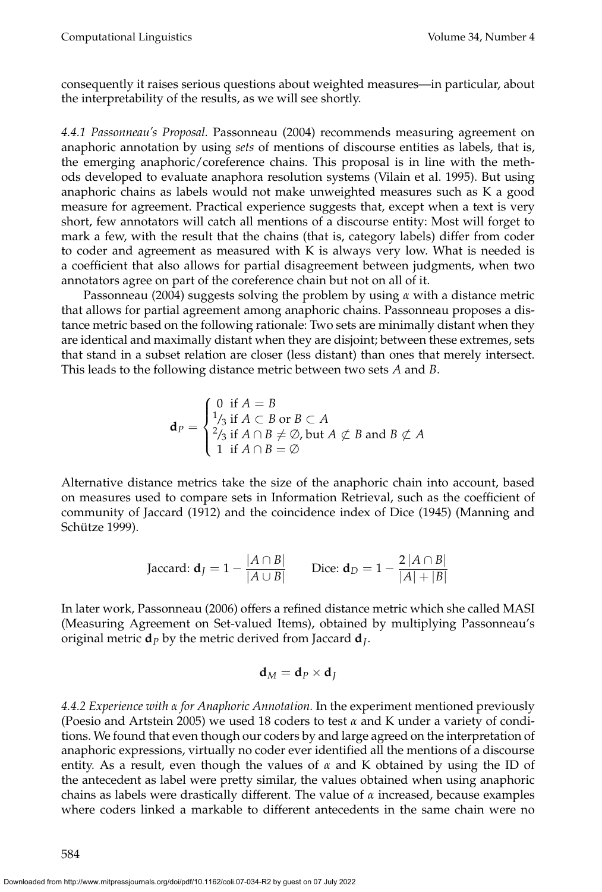consequently it raises serious questions about weighted measures—in particular, about the interpretability of the results, as we will see shortly.

*4.4.1 Passonneau's Proposal.* Passonneau (2004) recommends measuring agreement on anaphoric annotation by using *sets* of mentions of discourse entities as labels, that is, the emerging anaphoric/coreference chains. This proposal is in line with the methods developed to evaluate anaphora resolution systems (Vilain et al. 1995). But using anaphoric chains as labels would not make unweighted measures such as K a good measure for agreement. Practical experience suggests that, except when a text is very short, few annotators will catch all mentions of a discourse entity: Most will forget to mark a few, with the result that the chains (that is, category labels) differ from coder to coder and agreement as measured with K is always very low. What is needed is a coefficient that also allows for partial disagreement between judgments, when two annotators agree on part of the coreference chain but not on all of it.

Passonneau (2004) suggests solving the problem by using *α* with a distance metric that allows for partial agreement among anaphoric chains. Passonneau proposes a distance metric based on the following rationale: Two sets are minimally distant when they are identical and maximally distant when they are disjoint; between these extremes, sets that stand in a subset relation are closer (less distant) than ones that merely intersect. This leads to the following distance metric between two sets *A* and *B*.

$$
\mathbf{d}_P = \begin{cases} 0 & \text{if } A = B \\ \frac{1}{3} & \text{if } A \subset B \text{ or } B \subset A \\ \frac{2}{3} & \text{if } A \cap B \neq \emptyset, \text{ but } A \nsubseteq B \text{ and } B \nsubseteq A \\ 1 & \text{if } A \cap B = \emptyset \end{cases}
$$

Alternative distance metrics take the size of the anaphoric chain into account, based on measures used to compare sets in Information Retrieval, such as the coefficient of community of Jaccard (1912) and the coincidence index of Dice (1945) (Manning and Schütze 1999).

$$
\text{Jaccard: } \mathbf{d}_J = 1 - \frac{|A \cap B|}{|A \cup B|} \qquad \text{Dice: } \mathbf{d}_D = 1 - \frac{2|A \cap B|}{|A| + |B|}
$$

In later work, Passonneau (2006) offers a refined distance metric which she called MASI (Measuring Agreement on Set-valued Items), obtained by multiplying Passonneau's original metric **d***<sup>P</sup>* by the metric derived from Jaccard **d***J*.

$$
\mathbf{d}_M = \mathbf{d}_P \times \mathbf{d}_J
$$

*4.4.2 Experience with α for Anaphoric Annotation.* In the experiment mentioned previously (Poesio and Artstein 2005) we used 18 coders to test *α* and K under a variety of conditions. We found that even though our coders by and large agreed on the interpretation of anaphoric expressions, virtually no coder ever identified all the mentions of a discourse entity. As a result, even though the values of  $\alpha$  and K obtained by using the ID of the antecedent as label were pretty similar, the values obtained when using anaphoric chains as labels were drastically different. The value of *α* increased, because examples where coders linked a markable to different antecedents in the same chain were no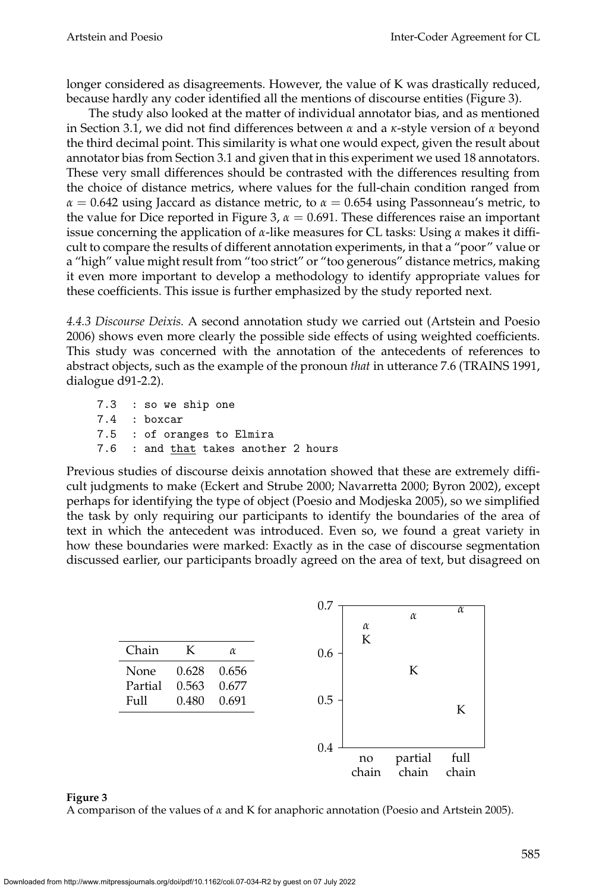longer considered as disagreements. However, the value of K was drastically reduced, because hardly any coder identified all the mentions of discourse entities (Figure 3).

The study also looked at the matter of individual annotator bias, and as mentioned in Section 3.1, we did not find differences between *α* and a *κ*-style version of *α* beyond the third decimal point. This similarity is what one would expect, given the result about annotator bias from Section 3.1 and given that in this experiment we used 18 annotators. These very small differences should be contrasted with the differences resulting from the choice of distance metrics, where values for the full-chain condition ranged from  $\alpha = 0.642$  using Jaccard as distance metric, to  $\alpha = 0.654$  using Passonneau's metric, to the value for Dice reported in Figure 3,  $\alpha = 0.691$ . These differences raise an important issue concerning the application of *α*-like measures for CL tasks: Using *α* makes it difficult to compare the results of different annotation experiments, in that a "poor" value or a "high" value might result from "too strict" or "too generous" distance metrics, making it even more important to develop a methodology to identify appropriate values for these coefficients. This issue is further emphasized by the study reported next.

*4.4.3 Discourse Deixis.* A second annotation study we carried out (Artstein and Poesio 2006) shows even more clearly the possible side effects of using weighted coefficients. This study was concerned with the annotation of the antecedents of references to abstract objects, such as the example of the pronoun *that* in utterance 7.6 (TRAINS 1991, dialogue d91-2.2).

```
7.3 : so we ship one
7.4 : boxcar
7.5 : of oranges to Elmira
7.6 : and that takes another 2 hours
```
Previous studies of discourse deixis annotation showed that these are extremely difficult judgments to make (Eckert and Strube 2000; Navarretta 2000; Byron 2002), except perhaps for identifying the type of object (Poesio and Modjeska 2005), so we simplified the task by only requiring our participants to identify the boundaries of the area of text in which the antecedent was introduced. Even so, we found a great variety in how these boundaries were marked: Exactly as in the case of discourse segmentation discussed earlier, our participants broadly agreed on the area of text, but disagreed on



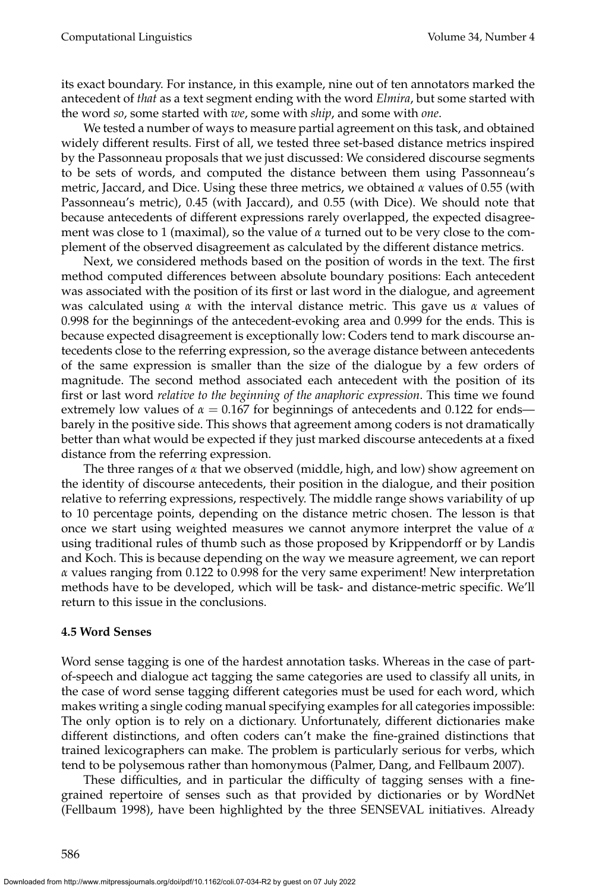its exact boundary. For instance, in this example, nine out of ten annotators marked the antecedent of *that* as a text segment ending with the word *Elmira*, but some started with the word *so*, some started with *we*, some with *ship*, and some with *one*.

We tested a number of ways to measure partial agreement on this task, and obtained widely different results. First of all, we tested three set-based distance metrics inspired by the Passonneau proposals that we just discussed: We considered discourse segments to be sets of words, and computed the distance between them using Passonneau's metric, Jaccard, and Dice. Using these three metrics, we obtained *α* values of 0.55 (with Passonneau's metric), 0.45 (with Jaccard), and 0.55 (with Dice). We should note that because antecedents of different expressions rarely overlapped, the expected disagreement was close to 1 (maximal), so the value of *α* turned out to be very close to the complement of the observed disagreement as calculated by the different distance metrics.

Next, we considered methods based on the position of words in the text. The first method computed differences between absolute boundary positions: Each antecedent was associated with the position of its first or last word in the dialogue, and agreement was calculated using *α* with the interval distance metric. This gave us *α* values of 0.998 for the beginnings of the antecedent-evoking area and 0.999 for the ends. This is because expected disagreement is exceptionally low: Coders tend to mark discourse antecedents close to the referring expression, so the average distance between antecedents of the same expression is smaller than the size of the dialogue by a few orders of magnitude. The second method associated each antecedent with the position of its first or last word *relative to the beginning of the anaphoric expression*. This time we found extremely low values of  $\alpha = 0.167$  for beginnings of antecedents and 0.122 for ends barely in the positive side. This shows that agreement among coders is not dramatically better than what would be expected if they just marked discourse antecedents at a fixed distance from the referring expression.

The three ranges of *α* that we observed (middle, high, and low) show agreement on the identity of discourse antecedents, their position in the dialogue, and their position relative to referring expressions, respectively. The middle range shows variability of up to 10 percentage points, depending on the distance metric chosen. The lesson is that once we start using weighted measures we cannot anymore interpret the value of *α* using traditional rules of thumb such as those proposed by Krippendorff or by Landis and Koch. This is because depending on the way we measure agreement, we can report *α* values ranging from 0.122 to 0.998 for the very same experiment! New interpretation methods have to be developed, which will be task- and distance-metric specific. We'll return to this issue in the conclusions.

#### **4.5 Word Senses**

Word sense tagging is one of the hardest annotation tasks. Whereas in the case of partof-speech and dialogue act tagging the same categories are used to classify all units, in the case of word sense tagging different categories must be used for each word, which makes writing a single coding manual specifying examples for all categories impossible: The only option is to rely on a dictionary. Unfortunately, different dictionaries make different distinctions, and often coders can't make the fine-grained distinctions that trained lexicographers can make. The problem is particularly serious for verbs, which tend to be polysemous rather than homonymous (Palmer, Dang, and Fellbaum 2007).

These difficulties, and in particular the difficulty of tagging senses with a finegrained repertoire of senses such as that provided by dictionaries or by WordNet (Fellbaum 1998), have been highlighted by the three SENSEVAL initiatives. Already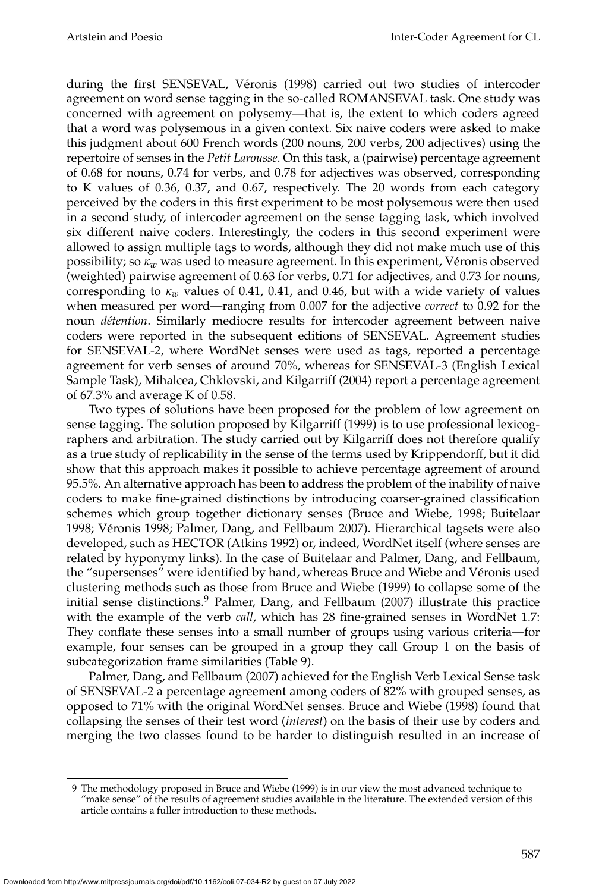during the first SENSEVAL, Véronis (1998) carried out two studies of intercoder agreement on word sense tagging in the so-called ROMANSEVAL task. One study was concerned with agreement on polysemy—that is, the extent to which coders agreed that a word was polysemous in a given context. Six naive coders were asked to make this judgment about 600 French words (200 nouns, 200 verbs, 200 adjectives) using the repertoire of senses in the *Petit Larousse*. On this task, a (pairwise) percentage agreement of 0.68 for nouns, 0.74 for verbs, and 0.78 for adjectives was observed, corresponding to K values of 0.36, 0.37, and 0.67, respectively. The 20 words from each category perceived by the coders in this first experiment to be most polysemous were then used in a second study, of intercoder agreement on the sense tagging task, which involved six different naive coders. Interestingly, the coders in this second experiment were allowed to assign multiple tags to words, although they did not make much use of this possibility; so *κw* was used to measure agreement. In this experiment, Veronis observed ´ (weighted) pairwise agreement of 0.63 for verbs, 0.71 for adjectives, and 0.73 for nouns, corresponding to  $\kappa_w$  values of 0.41, 0.41, and 0.46, but with a wide variety of values when measured per word—ranging from 0.007 for the adjective *correct* to 0.92 for the noun *d´etention*. Similarly mediocre results for intercoder agreement between naive coders were reported in the subsequent editions of SENSEVAL. Agreement studies for SENSEVAL-2, where WordNet senses were used as tags, reported a percentage agreement for verb senses of around 70%, whereas for SENSEVAL-3 (English Lexical Sample Task), Mihalcea, Chklovski, and Kilgarriff (2004) report a percentage agreement of 67.3% and average K of 0.58.

Two types of solutions have been proposed for the problem of low agreement on sense tagging. The solution proposed by Kilgarriff (1999) is to use professional lexicographers and arbitration. The study carried out by Kilgarriff does not therefore qualify as a true study of replicability in the sense of the terms used by Krippendorff, but it did show that this approach makes it possible to achieve percentage agreement of around 95.5%. An alternative approach has been to address the problem of the inability of naive coders to make fine-grained distinctions by introducing coarser-grained classification schemes which group together dictionary senses (Bruce and Wiebe, 1998; Buitelaar 1998; Veronis 1998; Palmer, Dang, and Fellbaum 2007). Hierarchical tagsets were also ´ developed, such as HECTOR (Atkins 1992) or, indeed, WordNet itself (where senses are related by hyponymy links). In the case of Buitelaar and Palmer, Dang, and Fellbaum, the "supersenses" were identified by hand, whereas Bruce and Wiebe and Véronis used clustering methods such as those from Bruce and Wiebe (1999) to collapse some of the initial sense distinctions.<sup>9</sup> Palmer, Dang, and Fellbaum (2007) illustrate this practice with the example of the verb *call*, which has 28 fine-grained senses in WordNet 1.7: They conflate these senses into a small number of groups using various criteria—for example, four senses can be grouped in a group they call Group 1 on the basis of subcategorization frame similarities (Table 9).

Palmer, Dang, and Fellbaum (2007) achieved for the English Verb Lexical Sense task of SENSEVAL-2 a percentage agreement among coders of 82% with grouped senses, as opposed to 71% with the original WordNet senses. Bruce and Wiebe (1998) found that collapsing the senses of their test word (*interest*) on the basis of their use by coders and merging the two classes found to be harder to distinguish resulted in an increase of

<sup>9</sup> The methodology proposed in Bruce and Wiebe (1999) is in our view the most advanced technique to "make sense" of the results of agreement studies available in the literature. The extended version of this article contains a fuller introduction to these methods.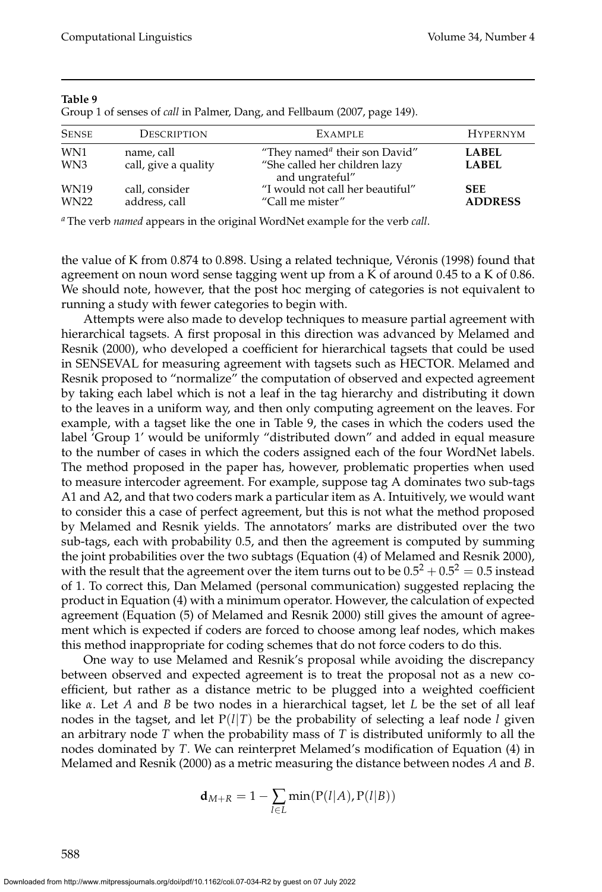| $\frac{1}{2}$       |                                    |                                                                                                      |                              |
|---------------------|------------------------------------|------------------------------------------------------------------------------------------------------|------------------------------|
| <b>SENSE</b>        | <b>DESCRIPTION</b>                 | <b>EXAMPLE</b>                                                                                       | <b>HYPERNYM</b>              |
| WN1<br>WN3          | name, call<br>call, give a quality | "They named <sup><i>a</i></sup> their son David"<br>"She called her children lazy<br>and ungrateful" | <b>LABEL</b><br><b>LABEL</b> |
| WN19<br><b>WN22</b> | call, consider<br>address, call    | "I would not call her beautiful"<br>"Call me mister"                                                 | <b>SEE</b><br><b>ADDRESS</b> |

#### **Table 9**

Group1 of senses of *call* in Palmer, Dang, and Fellbaum (2007, page 149).

*<sup>a</sup>* The verb *named* appears in the original WordNet example for the verb *call*.

the value of K from 0.874 to 0.898. Using a related technique, Véronis (1998) found that agreement on noun word sense tagging went upfrom a K of around 0.45 to a K of 0.86. We should note, however, that the post hoc merging of categories is not equivalent to running a study with fewer categories to begin with.

Attempts were also made to develop techniques to measure partial agreement with hierarchical tagsets. A first proposal in this direction was advanced by Melamed and Resnik (2000), who developed a coefficient for hierarchical tagsets that could be used in SENSEVAL for measuring agreement with tagsets such as HECTOR. Melamed and Resnik proposed to "normalize" the computation of observed and expected agreement by taking each label which is not a leaf in the tag hierarchy and distributing it down to the leaves in a uniform way, and then only computing agreement on the leaves. For example, with a tagset like the one in Table 9, the cases in which the coders used the label 'Group 1' would be uniformly "distributed down" and added in equal measure to the number of cases in which the coders assigned each of the four WordNet labels. The method proposed in the paper has, however, problematic properties when used to measure intercoder agreement. For example, suppose tag A dominates two sub-tags A1 and A2, and that two coders mark a particular item as A. Intuitively, we would want to consider this a case of perfect agreement, but this is not what the method proposed by Melamed and Resnik yields. The annotators' marks are distributed over the two sub-tags, each with probability 0.5, and then the agreement is computed by summing the joint probabilities over the two subtags (Equation (4) of Melamed and Resnik 2000), with the result that the agreement over the item turns out to be  $0.5^2 + 0.5^2 = 0.5$  instead of 1. To correct this, Dan Melamed (personal communication) suggested replacing the product in Equation (4) with a minimum operator. However, the calculation of expected agreement (Equation (5) of Melamed and Resnik 2000) still gives the amount of agreement which is expected if coders are forced to choose among leaf nodes, which makes this method inappropriate for coding schemes that do not force coders to do this.

One way to use Melamed and Resnik's proposal while avoiding the discrepancy between observed and expected agreement is to treat the proposal not as a new coefficient, but rather as a distance metric to be plugged into a weighted coefficient like *α*. Let *A* and *B* be two nodes in a hierarchical tagset, let *L* be the set of all leaf nodes in the tagset, and let  $P(l|T)$  be the probability of selecting a leaf node *l* given an arbitrary node *T* when the probability mass of *T* is distributed uniformly to all the nodes dominated by *T*. We can reinterpret Melamed's modification of Equation (4) in Melamed and Resnik (2000) as a metric measuring the distance between nodes *A* and *B*.

$$
\mathbf{d}_{M+R} = 1 - \sum_{l \in L} \min(\mathrm{P}(l|A), \mathrm{P}(l|B))
$$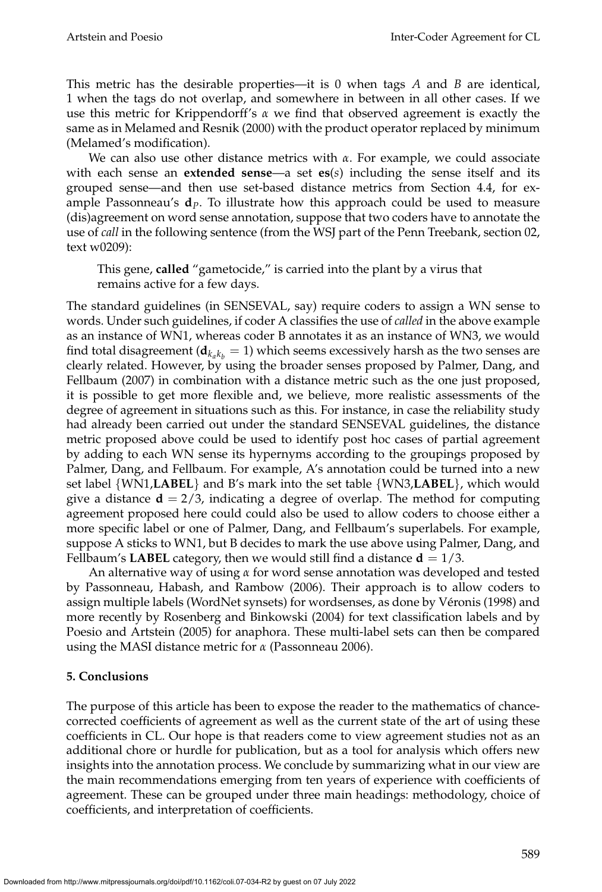This metric has the desirable properties—it is 0 when tags *A* and *B* are identical, 1 when the tags do not overlap, and somewhere in between in all other cases. If we use this metric for Krippendorff's *α* we find that observed agreement is exactly the same as in Melamed and Resnik (2000) with the product operator replaced by minimum (Melamed's modification).

We can also use other distance metrics with *α*. For example, we could associate with each sense an **extended sense**—a set **es**(*s*) including the sense itself and its grouped sense—and then use set-based distance metrics from Section 4.4, for example Passonneau's  $d_p$ . To illustrate how this approach could be used to measure (dis)agreement on word sense annotation, suppose that two coders have to annotate the use of *call* in the following sentence (from the WSJ part of the Penn Treebank, section 02, text w0209):

This gene, **called** "gametocide," is carried into the plant by a virus that remains active for a few days.

The standard guidelines (in SENSEVAL, say) require coders to assign a WN sense to words. Under such guidelines, if coder A classifies the use of *called* in the above example as an instance of WN1, whereas coder B annotates it as an instance of WN3, we would find total disagreement ( $\mathbf{d}_{k_{\alpha}k_{\alpha}} = 1$ ) which seems excessively harsh as the two senses are clearly related. However, by using the broader senses proposed by Palmer, Dang, and Fellbaum (2007) in combination with a distance metric such as the one just proposed, it is possible to get more flexible and, we believe, more realistic assessments of the degree of agreement in situations such as this. For instance, in case the reliability study had already been carried out under the standard SENSEVAL guidelines, the distance metric proposed above could be used to identify post hoc cases of partial agreement by adding to each WN sense its hypernyms according to the groupings proposed by Palmer, Dang, and Fellbaum. For example, A's annotation could be turned into a new set label {WN1,**LABEL**} and B's mark into the set table {WN3,**LABEL**}, which would give a distance  $d = 2/3$ , indicating a degree of overlap. The method for computing agreement proposed here could could also be used to allow coders to choose either a more specific label or one of Palmer, Dang, and Fellbaum's superlabels. For example, suppose A sticks to WN1, but B decides to mark the use above using Palmer, Dang, and Fellbaum's **LABEL** category, then we would still find a distance  $\mathbf{d} = 1/3$ .

An alternative way of using *α* for word sense annotation was developed and tested by Passonneau, Habash, and Rambow (2006). Their approach is to allow coders to assign multiple labels (WordNet synsets) for wordsenses, as done by Véronis (1998) and more recently by Rosenberg and Binkowski (2004) for text classification labels and by Poesio and Artstein (2005) for anaphora. These multi-label sets can then be compared using the MASI distance metric for *α* (Passonneau 2006).

# **5. Conclusions**

The purpose of this article has been to expose the reader to the mathematics of chancecorrected coefficients of agreement as well as the current state of the art of using these coefficients in CL. Our hope is that readers come to view agreement studies not as an additional chore or hurdle for publication, but as a tool for analysis which offers new insights into the annotation process. We conclude by summarizing what in our view are the main recommendations emerging from ten years of experience with coefficients of agreement. These can be grouped under three main headings: methodology, choice of coefficients, and interpretation of coefficients.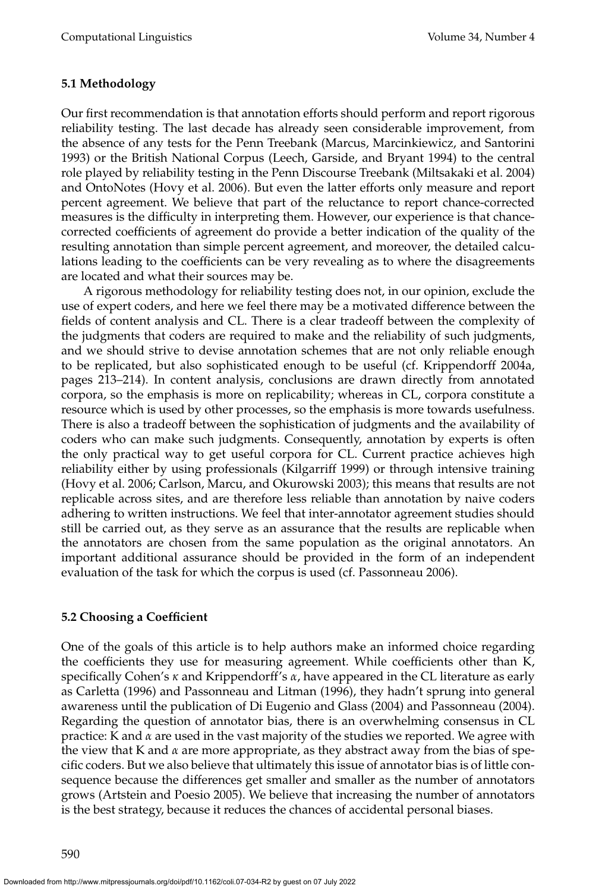## **5.1 Methodology**

Our first recommendation is that annotation efforts should perform and report rigorous reliability testing. The last decade has already seen considerable improvement, from the absence of any tests for the Penn Treebank (Marcus, Marcinkiewicz, and Santorini 1993) or the British National Corpus (Leech, Garside, and Bryant 1994) to the central role played by reliability testing in the Penn Discourse Treebank (Miltsakaki et al. 2004) and OntoNotes (Hovy et al. 2006). But even the latter efforts only measure and report percent agreement. We believe that part of the reluctance to report chance-corrected measures is the difficulty in interpreting them. However, our experience is that chancecorrected coefficients of agreement do provide a better indication of the quality of the resulting annotation than simple percent agreement, and moreover, the detailed calculations leading to the coefficients can be very revealing as to where the disagreements are located and what their sources may be.

A rigorous methodology for reliability testing does not, in our opinion, exclude the use of expert coders, and here we feel there may be a motivated difference between the fields of content analysis and CL. There is a clear tradeoff between the complexity of the judgments that coders are required to make and the reliability of such judgments, and we should strive to devise annotation schemes that are not only reliable enough to be replicated, but also sophisticated enough to be useful (cf. Krippendorff 2004a, pages 213–214). In content analysis, conclusions are drawn directly from annotated corpora, so the emphasis is more on replicability; whereas in CL, corpora constitute a resource which is used by other processes, so the emphasis is more towards usefulness. There is also a tradeoff between the sophistication of judgments and the availability of coders who can make such judgments. Consequently, annotation by experts is often the only practical way to get useful corpora for CL. Current practice achieves high reliability either by using professionals (Kilgarriff 1999) or through intensive training (Hovy et al. 2006; Carlson, Marcu, and Okurowski 2003); this means that results are not replicable across sites, and are therefore less reliable than annotation by naive coders adhering to written instructions. We feel that inter-annotator agreement studies should still be carried out, as they serve as an assurance that the results are replicable when the annotators are chosen from the same population as the original annotators. An important additional assurance should be provided in the form of an independent evaluation of the task for which the corpus is used (cf. Passonneau 2006).

#### **5.2 Choosing a Coefficient**

One of the goals of this article is to help authors make an informed choice regarding the coefficients they use for measuring agreement. While coefficients other than K, specifically Cohen's *κ* and Krippendorff's *α*, have appeared in the CL literature as early as Carletta (1996) and Passonneau and Litman (1996), they hadn't sprung into general awareness until the publication of Di Eugenio and Glass (2004) and Passonneau (2004). Regarding the question of annotator bias, there is an overwhelming consensus in CL practice: K and *α* are used in the vast majority of the studies we reported. We agree with the view that K and *α* are more appropriate, as they abstract away from the bias of specific coders. But we also believe that ultimately this issue of annotator bias is of little consequence because the differences get smaller and smaller as the number of annotators grows (Artstein and Poesio 2005). We believe that increasing the number of annotators is the best strategy, because it reduces the chances of accidental personal biases.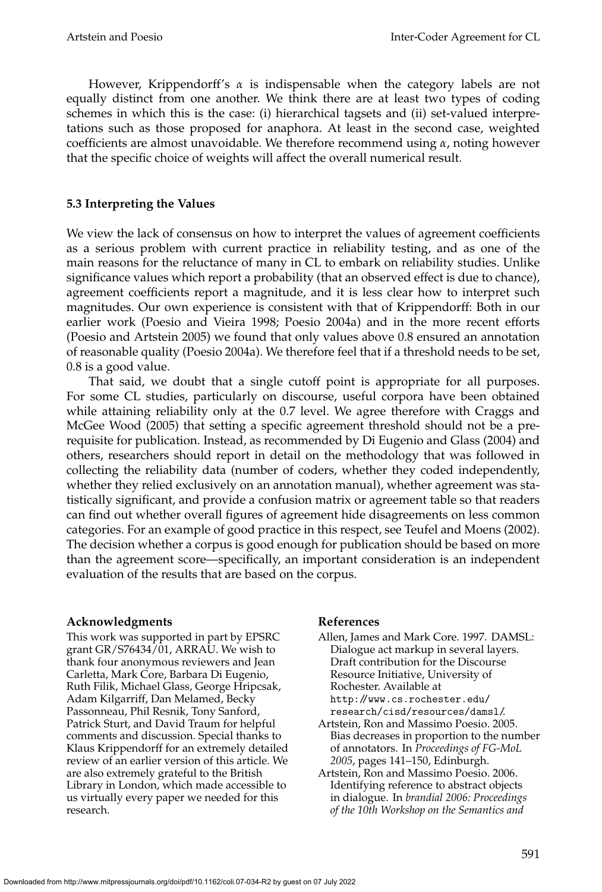However, Krippendorff's *α* is indispensable when the category labels are not equally distinct from one another. We think there are at least two types of coding schemes in which this is the case: (i) hierarchical tagsets and (ii) set-valued interpretations such as those proposed for anaphora. At least in the second case, weighted coefficients are almost unavoidable. We therefore recommend using *α*, noting however that the specific choice of weights will affect the overall numerical result.

## **5.3 Interpreting the Values**

We view the lack of consensus on how to interpret the values of agreement coefficients as a serious problem with current practice in reliability testing, and as one of the main reasons for the reluctance of many in CL to embark on reliability studies. Unlike significance values which report a probability (that an observed effect is due to chance), agreement coefficients report a magnitude, and it is less clear how to interpret such magnitudes. Our own experience is consistent with that of Krippendorff: Both in our earlier work (Poesio and Vieira 1998; Poesio 2004a) and in the more recent efforts (Poesio and Artstein 2005) we found that only values above 0.8 ensured an annotation of reasonable quality (Poesio 2004a). We therefore feel that if a threshold needs to be set, 0.8 is a good value.

That said, we doubt that a single cutoff point is appropriate for all purposes. For some CL studies, particularly on discourse, useful corpora have been obtained while attaining reliability only at the 0.7 level. We agree therefore with Craggs and McGee Wood (2005) that setting a specific agreement threshold should not be a prerequisite for publication. Instead, as recommended by Di Eugenio and Glass (2004) and others, researchers should report in detail on the methodology that was followed in collecting the reliability data (number of coders, whether they coded independently, whether they relied exclusively on an annotation manual), whether agreement was statistically significant, and provide a confusion matrix or agreement table so that readers can find out whether overall figures of agreement hide disagreements on less common categories. For an example of good practice in this respect, see Teufel and Moens (2002). The decision whether a corpus is good enough for publication should be based on more than the agreement score—specifically, an important consideration is an independent evaluation of the results that are based on the corpus.

## **Acknowledgments**

This work was supported in part by EPSRC grant GR/S76434/01, ARRAU. We wish to thank four anonymous reviewers and Jean Carletta, Mark Core, Barbara Di Eugenio, Ruth Filik, Michael Glass, George Hripcsak, Adam Kilgarriff, Dan Melamed, Becky Passonneau, Phil Resnik, Tony Sanford, Patrick Sturt, and David Traum for helpful comments and discussion. Special thanks to Klaus Krippendorff for an extremely detailed review of an earlier version of this article. We are also extremely grateful to the British Library in London, which made accessible to us virtually every paper we needed for this research.

## **References**

- Allen, James and Mark Core. 1997. DAMSL: Dialogue act markup in several layers. Draft contribution for the Discourse Resource Initiative, University of Rochester. Available at http://www.cs.rochester.edu/ research/cisd/resources/damsl/.
- Artstein, Ron and Massimo Poesio. 2005. Bias decreases in proportion to the number of annotators. In *Proceedings of FG-MoL 2005*, pages 141–150, Edinburgh.
- Artstein, Ron and Massimo Poesio. 2006. Identifying reference to abstract objects in dialogue. In *brandial 2006: Proceedings of the 10th Workshop on the Semantics and*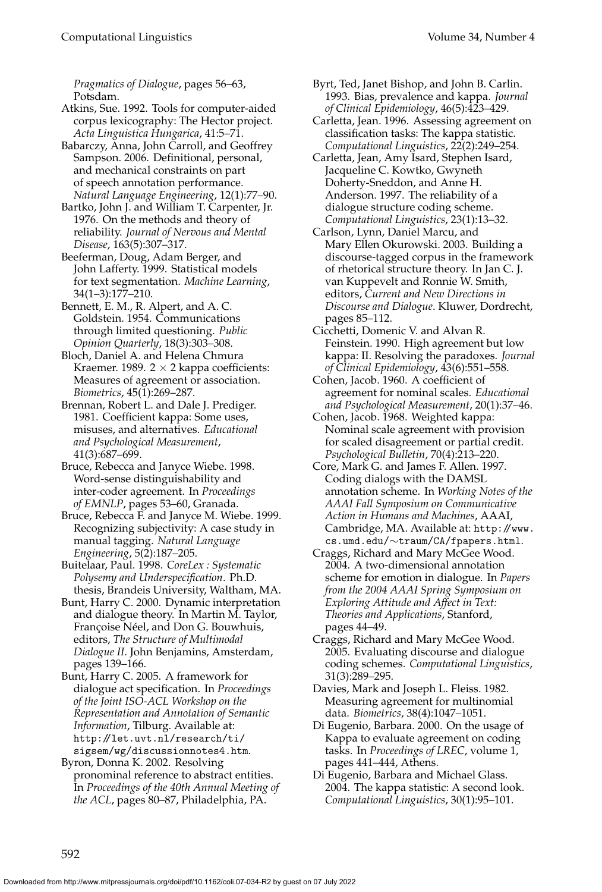*Pragmatics of Dialogue*, pages 56–63, Potsdam.

Atkins, Sue. 1992. Tools for computer-aided corpus lexicography: The Hector project. *Acta Linguistica Hungarica*, 41:5–71.

Babarczy, Anna, John Carroll, and Geoffrey Sampson. 2006. Definitional, personal, and mechanical constraints on part of speech annotation performance. *Natural Language Engineering*, 12(1):77–90.

Bartko, John J. and William T. Carpenter, Jr. 1976. On the methods and theory of reliability. *Journal of Nervous and Mental Disease*, 163(5):307–317.

Beeferman, Doug, Adam Berger, and John Lafferty. 1999. Statistical models for text segmentation. *Machine Learning*, 34(1–3):177–210.

Bennett, E. M., R. Alpert, and A. C. Goldstein. 1954. Communications through limited questioning. *Public Opinion Quarterly*, 18(3):303–308.

Bloch, Daniel A. and Helena Chmura Kraemer. 1989.  $2 \times 2$  kappa coefficients: Measures of agreement or association. *Biometrics*, 45(1):269–287.

Brennan, Robert L. and Dale J. Prediger. 1981. Coefficient kappa: Some uses, misuses, and alternatives. *Educational and Psychological Measurement*, 41(3):687–699.

Bruce, Rebecca and Janyce Wiebe. 1998. Word-sense distinguishability and inter-coder agreement. In *Proceedings of EMNLP*, pages 53–60, Granada.

Bruce, Rebecca F. and Janyce M. Wiebe. 1999. Recognizing subjectivity: A case study in manual tagging. *Natural Language Engineering*, 5(2):187–205.

Buitelaar, Paul. 1998. *CoreLex : Systematic Polysemy and Underspecification*. Ph.D. thesis, Brandeis University, Waltham, MA.

Bunt, Harry C. 2000. Dynamic interpretation and dialogue theory. In Martin M. Taylor, Françoise Néel, and Don G. Bouwhuis, editors, *The Structure of Multimodal Dialogue II*. John Benjamins, Amsterdam, pages 139–166.

Bunt, Harry C. 2005. A framework for dialogue act specification. In *Proceedings of the Joint ISO-ACL Workshop on the Representation and Annotation of Semantic Information*, Tilburg. Available at: http://let.uvt.nl/research/ti/ sigsem/wg/discussionnotes4.htm.

Byron, Donna K. 2002. Resolving pronominal reference to abstract entities. In *Proceedings of the 40th Annual Meeting of the ACL*, pages 80–87, Philadelphia, PA.

Byrt, Ted, Janet Bishop, and John B. Carlin. 1993. Bias, prevalence and kappa. *Journal of Clinical Epidemiology*, 46(5):423–429.

Carletta, Jean. 1996. Assessing agreement on classification tasks: The kappa statistic. *Computational Linguistics*, 22(2):249–254.

Carletta, Jean, Amy Isard, Stephen Isard, Jacqueline C. Kowtko, Gwyneth Doherty-Sneddon, and Anne H. Anderson. 1997. The reliability of a dialogue structure coding scheme. *Computational Linguistics*, 23(1):13–32.

Carlson, Lynn, Daniel Marcu, and Mary Ellen Okurowski. 2003. Building a discourse-tagged corpus in the framework of rhetorical structure theory. In Jan C. J. van Kuppevelt and Ronnie W. Smith, editors, *Current and New Directions in Discourse and Dialogue*. Kluwer, Dordrecht, pages 85–112.

Cicchetti, Domenic V. and Alvan R. Feinstein. 1990. High agreement but low kappa: II. Resolving the paradoxes. *Journal of Clinical Epidemiology*, 43(6):551–558.

Cohen, Jacob. 1960. A coefficient of agreement for nominal scales. *Educational and Psychological Measurement*, 20(1):37–46.

Cohen, Jacob. 1968. Weighted kappa: Nominal scale agreement with provision for scaled disagreement or partial credit. *Psychological Bulletin*, 70(4):213–220.

Core, Mark G. and James F. Allen. 1997. Coding dialogs with the DAMSL annotation scheme. In *Working Notes of the AAAI Fall Symposium on Communicative Action in Humans and Machines*, AAAI, Cambridge, MA. Available at: http://www. cs.umd.edu/∼traum/CA/fpapers.html.

Craggs, Richard and Mary McGee Wood. 2004. A two-dimensional annotation scheme for emotion in dialogue. In *Papers from the 2004 AAAI Spring Symposium on Exploring Attitude and Affect in Text: Theories and Applications*, Stanford, pages 44–49.

Craggs, Richard and Mary McGee Wood. 2005. Evaluating discourse and dialogue coding schemes. *Computational Linguistics*, 31(3):289–295.

Davies, Mark and Joseph L. Fleiss. 1982. Measuring agreement for multinomial data. *Biometrics*, 38(4):1047–1051.

Di Eugenio, Barbara. 2000. On the usage of Kappa to evaluate agreement on coding tasks. In *Proceedings of LREC*, volume 1, pages 441–444, Athens.

Di Eugenio, Barbara and Michael Glass. 2004. The kappa statistic: A second look. *Computational Linguistics*, 30(1):95–101.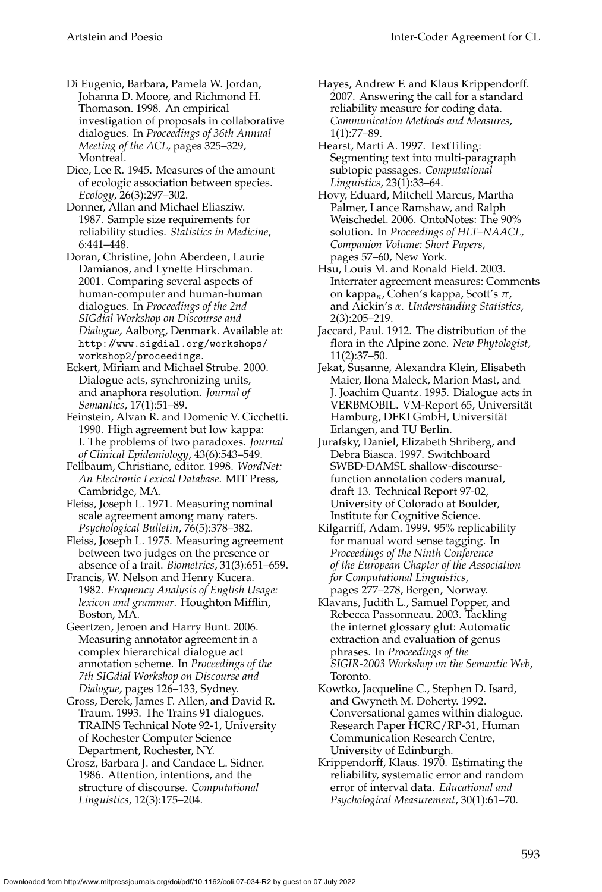- Di Eugenio, Barbara, Pamela W. Jordan, Johanna D. Moore, and Richmond H. Thomason. 1998. An empirical investigation of proposals in collaborative dialogues. In *Proceedings of 36th Annual Meeting of the ACL*, pages 325–329, Montreal.
- Dice, Lee R. 1945. Measures of the amount of ecologic association between species. *Ecology*, 26(3):297–302.
- Donner, Allan and Michael Eliasziw. 1987. Sample size requirements for reliability studies. *Statistics in Medicine*, 6:441–448.
- Doran, Christine, John Aberdeen, Laurie Damianos, and Lynette Hirschman. 2001. Comparing several aspects of human-computer and human-human dialogues. In *Proceedings of the 2nd SIGdial Workshop on Discourse and Dialogue*, Aalborg, Denmark. Available at: http://www.sigdial.org/workshops/ workshop2/proceedings.
- Eckert, Miriam and Michael Strube. 2000. Dialogue acts, synchronizing units, and anaphora resolution. *Journal of Semantics*, 17(1):51–89.
- Feinstein, Alvan R. and Domenic V. Cicchetti. 1990. High agreement but low kappa: I. The problems of two paradoxes. *Journal of Clinical Epidemiology*, 43(6):543–549.
- Fellbaum, Christiane, editor. 1998. *WordNet: An Electronic Lexical Database*. MIT Press, Cambridge, MA.
- Fleiss, Joseph L. 1971. Measuring nominal scale agreement among many raters. *Psychological Bulletin*, 76(5):378–382.
- Fleiss, Joseph L. 1975. Measuring agreement between two judges on the presence or absence of a trait. *Biometrics*, 31(3):651–659.
- Francis, W. Nelson and Henry Kucera. 1982. *Frequency Analysis of English Usage: lexicon and grammar*. Houghton Mifflin, Boston, MA.
- Geertzen, Jeroen and Harry Bunt. 2006. Measuring annotator agreement in a complex hierarchical dialogue act annotation scheme. In *Proceedings of the 7th SIGdial Workshop on Discourse and Dialogue*, pages 126–133, Sydney.
- Gross, Derek, James F. Allen, and David R. Traum. 1993. The Trains 91 dialogues. TRAINS Technical Note 92-1, University of Rochester Computer Science Department, Rochester, NY.
- Grosz, Barbara J. and Candace L. Sidner. 1986. Attention, intentions, and the structure of discourse. *Computational Linguistics*, 12(3):175–204.
- Hayes, Andrew F. and Klaus Krippendorff. 2007. Answering the call for a standard reliability measure for coding data. *Communication Methods and Measures*, 1(1):77–89.
- Hearst, Marti A. 1997. TextTiling: Segmenting text into multi-paragraph subtopic passages. *Computational Linguistics*, 23(1):33–64.
- Hovy, Eduard, Mitchell Marcus, Martha Palmer, Lance Ramshaw, and Ralph Weischedel. 2006. OntoNotes: The 90% solution. In *Proceedings of HLT–NAACL, Companion Volume: Short Papers*, pages 57–60, New York.
- Hsu, Louis M. and Ronald Field. 2003. Interrater agreement measures: Comments on kappa*n*, Cohen's kappa, Scott's *π*, and Aickin's *α*. *Understanding Statistics*, 2(3):205–219.
- Jaccard, Paul. 1912. The distribution of the flora in the Alpine zone. *New Phytologist*, 11(2):37–50.
- Jekat, Susanne, Alexandra Klein, Elisabeth Maier, Ilona Maleck, Marion Mast, and J. Joachim Quantz. 1995. Dialogue acts in VERBMOBIL. VM-Report 65, Universitat¨ Hamburg, DFKI GmbH, Universitat¨ Erlangen, and TU Berlin.
- Jurafsky, Daniel, Elizabeth Shriberg, and Debra Biasca. 1997. Switchboard SWBD-DAMSL shallow-discoursefunction annotation coders manual, draft 13. Technical Report 97-02, University of Colorado at Boulder, Institute for Cognitive Science.
- Kilgarriff, Adam. 1999. 95% replicability for manual word sense tagging. In *Proceedings of the Ninth Conference of the European Chapter of the Association for Computational Linguistics*, pages 277–278, Bergen, Norway.
- Klavans, Judith L., Samuel Popper, and Rebecca Passonneau. 2003. Tackling the internet glossary glut: Automatic extraction and evaluation of genus phrases. In *Proceedings of the SIGIR-2003 Workshop on the Semantic Web*, Toronto.
- Kowtko, Jacqueline C., Stephen D. Isard, and Gwyneth M. Doherty. 1992. Conversational games within dialogue. Research Paper HCRC/RP-31, Human Communication Research Centre, University of Edinburgh.
- Krippendorff, Klaus. 1970. Estimating the reliability, systematic error and random error of interval data. *Educational and Psychological Measurement*, 30(1):61–70.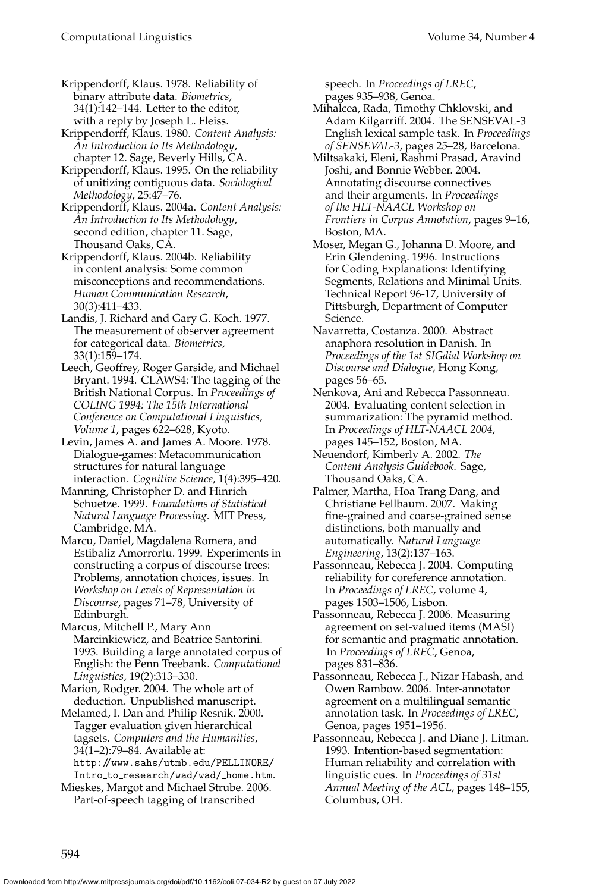Krippendorff, Klaus. 1978. Reliability of binary attribute data. *Biometrics*, 34(1):142–144. Letter to the editor, with a reply by Joseph L. Fleiss.

Krippendorff, Klaus. 1980. *Content Analysis: An Introduction to Its Methodology*, chapter 12. Sage, Beverly Hills, CA.

Krippendorff, Klaus. 1995. On the reliability of unitizing contiguous data. *Sociological Methodology*, 25:47–76.

Krippendorff, Klaus. 2004a. *Content Analysis: An Introduction to Its Methodology*, second edition, chapter 11. Sage, Thousand Oaks, CA.

Krippendorff, Klaus. 2004b. Reliability in content analysis: Some common misconceptions and recommendations. *Human Communication Research*, 30(3):411–433.

Landis, J. Richard and Gary G. Koch. 1977. The measurement of observer agreement for categorical data. *Biometrics*, 33(1):159–174.

Leech, Geoffrey, Roger Garside, and Michael Bryant. 1994. CLAWS4: The tagging of the British National Corpus. In *Proceedings of COLING 1994: The 15th International Conference on Computational Linguistics, Volume 1*, pages 622–628, Kyoto.

Levin, James A. and James A. Moore. 1978. Dialogue-games: Metacommunication structures for natural language interaction. *Cognitive Science*, 1(4):395–420.

Manning, Christopher D. and Hinrich Schuetze. 1999. *Foundations of Statistical Natural Language Processing*. MIT Press, Cambridge, MA.

Marcu, Daniel, Magdalena Romera, and Estibaliz Amorrortu. 1999. Experiments in constructing a corpus of discourse trees: Problems, annotation choices, issues. In *Workshop on Levels of Representation in Discourse*, pages 71–78, University of Edinburgh.

Marcus, Mitchell P., Mary Ann Marcinkiewicz, and Beatrice Santorini. 1993. Building a large annotated corpus of English: the Penn Treebank. *Computational Linguistics*, 19(2):313–330.

Marion, Rodger. 2004. The whole art of deduction. Unpublished manuscript.

Melamed, I. Dan and Philip Resnik. 2000. Tagger evaluation given hierarchical tagsets. *Computers and the Humanities*, 34(1–2):79–84. Available at:

http://www.sahs/utmb.edu/PELLINORE/ Intro to research/wad/wad/ home.htm.

Mieskes, Margot and Michael Strube. 2006. Part-of-speech tagging of transcribed

speech. In *Proceedings of LREC*, pages 935–938, Genoa.

Mihalcea, Rada, Timothy Chklovski, and Adam Kilgarriff. 2004. The SENSEVAL-3 English lexical sample task. In *Proceedings of SENSEVAL-3*, pages 25–28, Barcelona.

Miltsakaki, Eleni, Rashmi Prasad, Aravind Joshi, and Bonnie Webber. 2004. Annotating discourse connectives and their arguments. In *Proceedings of the HLT-NAACL Workshop on Frontiers in Corpus Annotation*, pages 9–16, Boston, MA.

Moser, Megan G., Johanna D. Moore, and Erin Glendening. 1996. Instructions for Coding Explanations: Identifying Segments, Relations and Minimal Units. Technical Report 96-17, University of Pittsburgh, Department of Computer Science.

Navarretta, Costanza. 2000. Abstract anaphora resolution in Danish. In *Proceedings of the 1st SIGdial Workshop on Discourse and Dialogue*, Hong Kong, pages 56–65.

Nenkova, Ani and Rebecca Passonneau. 2004. Evaluating content selection in summarization: The pyramid method. In *Proceedings of HLT-NAACL 2004*, pages 145–152, Boston, MA.

Neuendorf, Kimberly A. 2002. *The Content Analysis Guidebook*. Sage, Thousand Oaks, CA.

Palmer, Martha, Hoa Trang Dang, and Christiane Fellbaum. 2007. Making fine-grained and coarse-grained sense distinctions, both manually and automatically. *Natural Language Engineering*, 13(2):137–163.

Passonneau, Rebecca J. 2004. Computing reliability for coreference annotation. In *Proceedings of LREC*, volume 4, pages 1503–1506, Lisbon.

Passonneau, Rebecca J. 2006. Measuring agreement on set-valued items (MASI) for semantic and pragmatic annotation. In *Proceedings of LREC*, Genoa, pages 831–836.

Passonneau, Rebecca J., Nizar Habash, and Owen Rambow. 2006. Inter-annotator agreement on a multilingual semantic annotation task. In *Proceedings of LREC*, Genoa, pages 1951–1956.

Passonneau, Rebecca J. and Diane J. Litman. 1993. Intention-based segmentation: Human reliability and correlation with linguistic cues. In *Proceedings of 31st Annual Meeting of the ACL*, pages 148–155, Columbus, OH.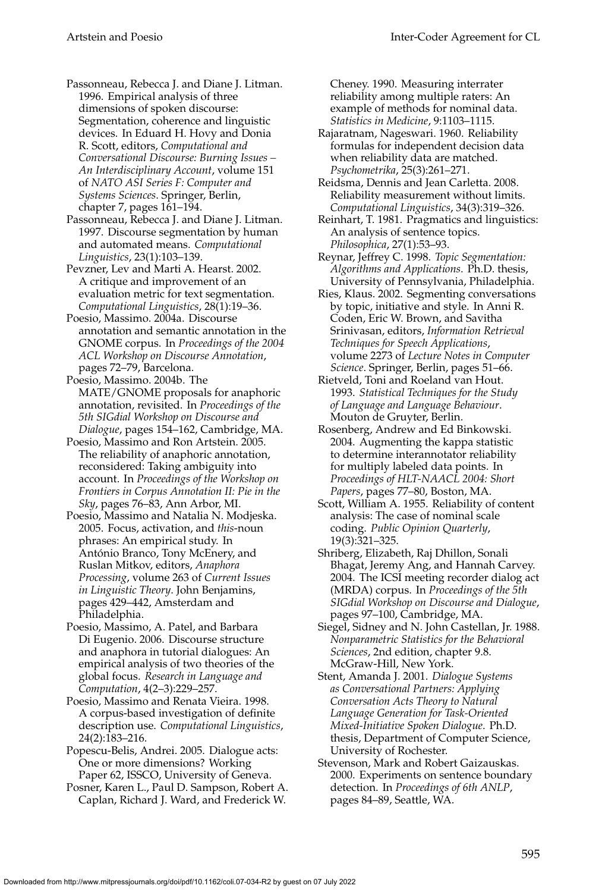- Passonneau, Rebecca J. and Diane J. Litman. 1996. Empirical analysis of three dimensions of spoken discourse: Segmentation, coherence and linguistic devices. In Eduard H. Hovy and Donia R. Scott, editors, *Computational and Conversational Discourse: Burning Issues – An Interdisciplinary Account*, volume 151 of *NATO ASI Series F: Computer and Systems Sciences*. Springer, Berlin, chapter 7, pages 161–194.
- Passonneau, Rebecca J. and Diane J. Litman. 1997. Discourse segmentation by human and automated means. *Computational Linguistics*, 23(1):103–139.
- Pevzner, Lev and Marti A. Hearst. 2002. A critique and improvement of an evaluation metric for text segmentation. *Computational Linguistics*, 28(1):19–36.
- Poesio, Massimo. 2004a. Discourse annotation and semantic annotation in the GNOME corpus. In *Proceedings of the 2004 ACL Workshop on Discourse Annotation*, pages 72–79, Barcelona.
- Poesio, Massimo. 2004b. The MATE/GNOME proposals for anaphoric annotation, revisited. In *Proceedings of the 5th SIGdial Workshop on Discourse and Dialogue*, pages 154–162, Cambridge, MA.
- Poesio, Massimo and Ron Artstein. 2005. The reliability of anaphoric annotation, reconsidered: Taking ambiguity into account. In *Proceedings of the Workshop on Frontiers in Corpus Annotation II: Pie in the Sky*, pages 76–83, Ann Arbor, MI.
- Poesio, Massimo and Natalia N. Modjeska. 2005. Focus, activation, and *this*-noun phrases: An empirical study. In António Branco, Tony McEnery, and Ruslan Mitkov, editors, *Anaphora Processing*, volume 263 of *Current Issues in Linguistic Theory*. John Benjamins, pages 429–442, Amsterdam and Philadelphia.
- Poesio, Massimo, A. Patel, and Barbara Di Eugenio. 2006. Discourse structure and anaphora in tutorial dialogues: An empirical analysis of two theories of the global focus. *Research in Language and Computation*, 4(2–3):229–257.
- Poesio, Massimo and Renata Vieira. 1998. A corpus-based investigation of definite description use. *Computational Linguistics*, 24(2):183–216.
- Popescu-Belis, Andrei. 2005. Dialogue acts: One or more dimensions? Working Paper 62, ISSCO, University of Geneva.
- Posner, Karen L., Paul D. Sampson, Robert A. Caplan, Richard J. Ward, and Frederick W.

Cheney. 1990. Measuring interrater reliability among multiple raters: An example of methods for nominal data. *Statistics in Medicine*, 9:1103–1115.

- Rajaratnam, Nageswari. 1960. Reliability formulas for independent decision data when reliability data are matched. *Psychometrika*, 25(3):261–271.
- Reidsma, Dennis and Jean Carletta. 2008. Reliability measurement without limits. *Computational Linguistics*, 34(3):319–326.
- Reinhart, T. 1981. Pragmatics and linguistics: An analysis of sentence topics. *Philosophica*, 27(1):53–93.
- Reynar, Jeffrey C. 1998. *Topic Segmentation: Algorithms and Applications*. Ph.D. thesis, University of Pennsylvania, Philadelphia.
- Ries, Klaus. 2002. Segmenting conversations by topic, initiative and style. In Anni R. Coden, Eric W. Brown, and Savitha Srinivasan, editors, *Information Retrieval Techniques for Speech Applications*, volume 2273 of *Lecture Notes in Computer Science*. Springer, Berlin, pages 51–66.
- Rietveld, Toni and Roeland van Hout. 1993. *Statistical Techniques for the Study of Language and Language Behaviour*. Mouton de Gruyter, Berlin.
- Rosenberg, Andrew and Ed Binkowski. 2004. Augmenting the kappa statistic to determine interannotator reliability for multiply labeled data points. In *Proceedings of HLT-NAACL 2004: Short Papers*, pages 77–80, Boston, MA.
- Scott, William A. 1955. Reliability of content analysis: The case of nominal scale coding. *Public Opinion Quarterly*, 19(3):321–325.
- Shriberg, Elizabeth, Raj Dhillon, Sonali Bhagat, Jeremy Ang, and Hannah Carvey. 2004. The ICSI meeting recorder dialog act (MRDA) corpus. In *Proceedings of the 5th SIGdial Workshop on Discourse and Dialogue*, pages 97–100, Cambridge, MA.
- Siegel, Sidney and N. John Castellan, Jr. 1988. *Nonparametric Statistics for the Behavioral Sciences*, 2nd edition, chapter 9.8. McGraw-Hill, New York.
- Stent, Amanda J. 2001. *Dialogue Systems as Conversational Partners: Applying Conversation Acts Theory to Natural Language Generation for Task-Oriented Mixed-Initiative Spoken Dialogue*. Ph.D. thesis, Department of Computer Science, University of Rochester.
- Stevenson, Mark and Robert Gaizauskas. 2000. Experiments on sentence boundary detection. In *Proceedings of 6th ANLP*, pages 84–89, Seattle, WA.